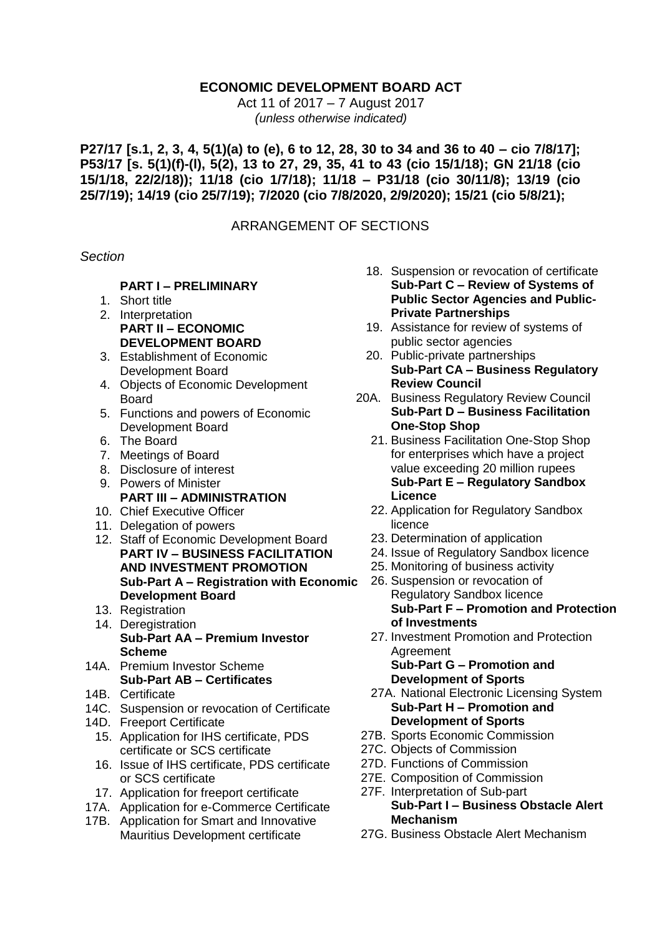## **ECONOMIC DEVELOPMENT BOARD ACT**

Act 11 of 2017 – 7 August 2017 *(unless otherwise indicated)*

**P27/17 [s.1, 2, 3, 4, 5(1)(a) to (e), 6 to 12, 28, 30 to 34 and 36 to 40 – cio 7/8/17]; P53/17 [s. 5(1)(f)-(l), 5(2), 13 to 27, 29, 35, 41 to 43 (cio 15/1/18); GN 21/18 (cio 15/1/18, 22/2/18)); 11/18 (cio 1/7/18); 11/18 – P31/18 (cio 30/11/8); 13/19 (cio 25/7/19); 14/19 (cio 25/7/19); 7/2020 (cio 7/8/2020, 2/9/2020); 15/21 (cio 5/8/21);**

## ARRANGEMENT OF SECTIONS

#### *Section*

#### **PART I – PRELIMINARY**

- 1. Short title
- 2. Interpretation **PART II – ECONOMIC DEVELOPMENT BOARD**
- 3. Establishment of Economic Development Board
- 4. Objects of Economic Development Board
- 5. Functions and powers of Economic Development Board
- 6. The Board
- 7. Meetings of Board
- 8. Disclosure of interest
- 9. Powers of Minister **PART III – ADMINISTRATION**
- 10. Chief Executive Officer
- 11. Delegation of powers
- 12. Staff of Economic Development Board **PART IV – BUSINESS FACILITATION AND INVESTMENT PROMOTION Sub-Part A – Registration with Economic Development Board**
- 13. Registration
- 14. Deregistration **Sub-Part AA – Premium Investor Scheme**
- 14A. Premium Investor Scheme **Sub-Part AB – Certificates**
- 14B. Certificate
- 14C. Suspension or revocation of Certificate
- 14D. Freeport Certificate
	- 15. Application for IHS certificate, PDS certificate or SCS certificate
	- 16. Issue of IHS certificate, PDS certificate or SCS certificate
	- 17. Application for freeport certificate
- 17A. Application for e-Commerce Certificate
- 17B. Application for Smart and Innovative Mauritius Development certificate
- 18. Suspension or revocation of certificate **Sub-Part C – Review of Systems of Public Sector Agencies and Public-Private Partnerships**
- 19. Assistance for review of systems of public sector agencies
- 20. Public-private partnerships **Sub-Part CA – Business Regulatory Review Council**
- 20A. Business Regulatory Review Council **Sub-Part D – Business Facilitation One-Stop Shop**
	- 21. Business Facilitation One-Stop Shop for enterprises which have a project value exceeding 20 million rupees **Sub-Part E – Regulatory Sandbox Licence**
	- 22. Application for Regulatory Sandbox licence
	- 23. Determination of application
	- 24. Issue of Regulatory Sandbox licence
	- 25. Monitoring of business activity
	- 26. Suspension or revocation of Regulatory Sandbox licence **Sub-Part F – Promotion and Protection of Investments**
	- 27. Investment Promotion and Protection Agreement **Sub-Part G – Promotion and**

# **Development of Sports**

- 27A. National Electronic Licensing System **Sub-Part H – Promotion and Development of Sports**
- 27B. Sports Economic Commission
- 27C. Objects of Commission
- 27D. Functions of Commission
- 27E. Composition of Commission
- 27F. Interpretation of Sub-part **Sub-Part I – Business Obstacle Alert Mechanism**
- 27G. Business Obstacle Alert Mechanism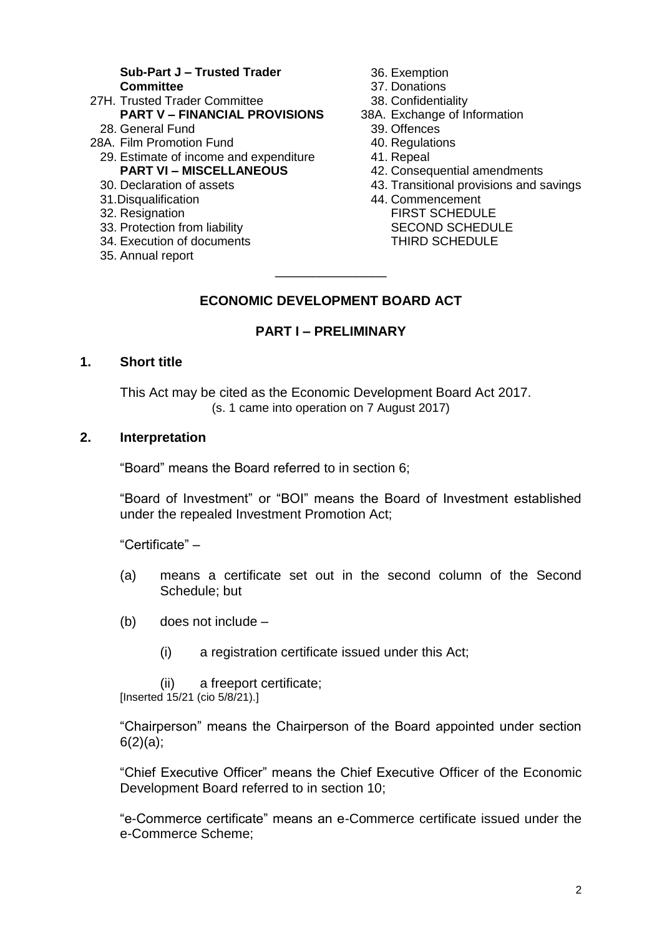#### **Sub-Part J – Trusted Trader Committee**

- 27H. Trusted Trader Committee **PART V – FINANCIAL PROVISIONS** 28. General Fund
- 28A. Film Promotion Fund
	- 29. Estimate of income and expenditure **PART VI – MISCELLANEOUS**
	- 30. Declaration of assets
	- 31.Disqualification
	- 32. Resignation
	- 33. Protection from liability
	- 34. Execution of documents
	- 35. Annual report
- 36. Exemption
- 37. Donations
- 38. Confidentiality
- 38A. Exchange of Information
	- 39. Offences
	- 40. Regulations
	- 41. Repeal
	- 42. Consequential amendments
	- 43. Transitional provisions and savings
	- 44. Commencement FIRST SCHEDULE SECOND SCHEDULE THIRD SCHEDULE

# **ECONOMIC DEVELOPMENT BOARD ACT**

\_\_\_\_\_\_\_\_\_\_\_\_\_\_\_

#### **PART I – PRELIMINARY**

#### **1. Short title**

This Act may be cited as the Economic Development Board Act 2017. (s. 1 came into operation on 7 August 2017)

#### **2. Interpretation**

"Board" means the Board referred to in section 6;

"Board of Investment" or "BOI" means the Board of Investment established under the repealed Investment Promotion Act;

"Certificate" –

- (a) means a certificate set out in the second column of the Second Schedule; but
- (b) does not include
	- (i) a registration certificate issued under this Act;

(ii) a freeport certificate; [Inserted 15/21 (cio 5/8/21).]

"Chairperson" means the Chairperson of the Board appointed under section  $6(2)(a)$ ;

"Chief Executive Officer" means the Chief Executive Officer of the Economic Development Board referred to in section 10;

"e-Commerce certificate" means an e-Commerce certificate issued under the e-Commerce Scheme;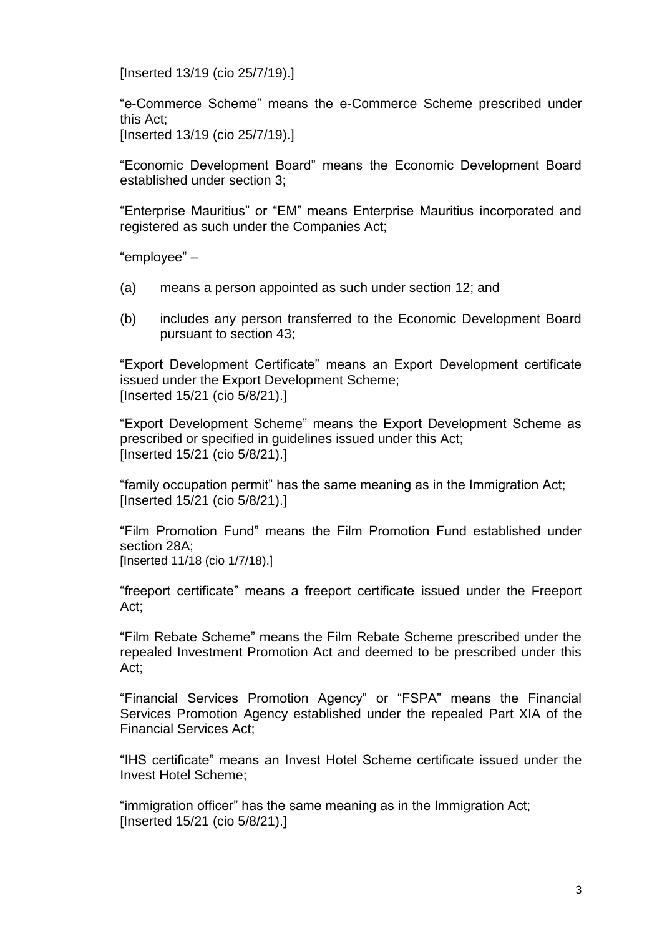[Inserted 13/19 (cio 25/7/19).]

"e-Commerce Scheme" means the e-Commerce Scheme prescribed under this Act; [Inserted 13/19 (cio 25/7/19).]

"Economic Development Board" means the Economic Development Board established under section 3;

"Enterprise Mauritius" or "EM" means Enterprise Mauritius incorporated and registered as such under the Companies Act;

"employee" –

- (a) means a person appointed as such under section 12; and
- (b) includes any person transferred to the Economic Development Board pursuant to section 43;

"Export Development Certificate" means an Export Development certificate issued under the Export Development Scheme; [Inserted 15/21 (cio 5/8/21).]

"Export Development Scheme" means the Export Development Scheme as prescribed or specified in guidelines issued under this Act; [Inserted 15/21 (cio 5/8/21).]

"family occupation permit" has the same meaning as in the Immigration Act; [Inserted 15/21 (cio 5/8/21).]

"Film Promotion Fund" means the Film Promotion Fund established under section 28A; [Inserted 11/18 (cio 1/7/18).]

"freeport certificate" means a freeport certificate issued under the Freeport Act;

"Film Rebate Scheme" means the Film Rebate Scheme prescribed under the repealed Investment Promotion Act and deemed to be prescribed under this Act;

"Financial Services Promotion Agency" or "FSPA" means the Financial Services Promotion Agency established under the repealed Part XIA of the Financial Services Act;

"IHS certificate" means an Invest Hotel Scheme certificate issued under the Invest Hotel Scheme;

"immigration officer" has the same meaning as in the Immigration Act; [Inserted 15/21 (cio 5/8/21).]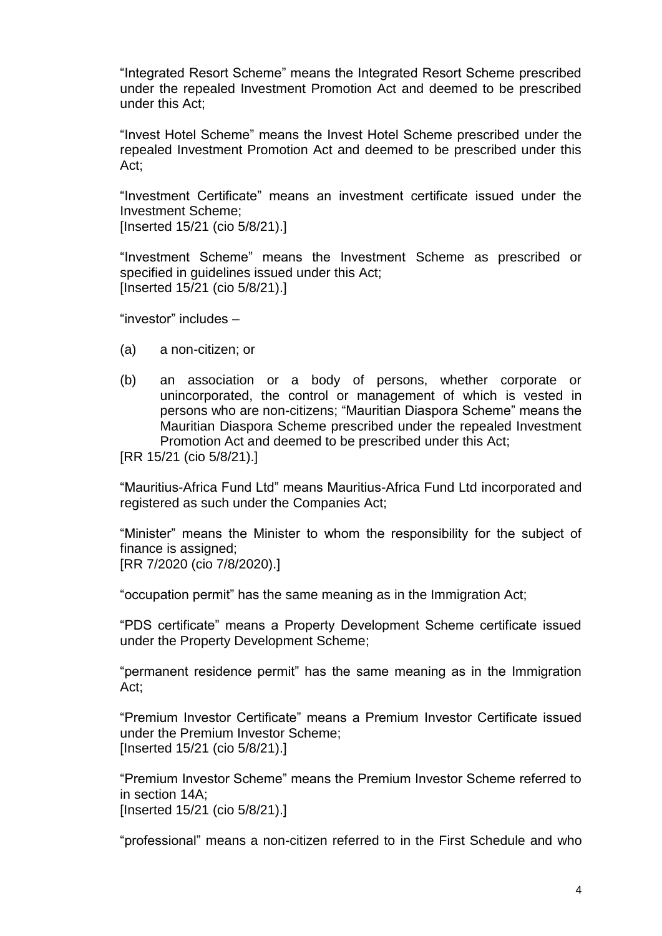"Integrated Resort Scheme" means the Integrated Resort Scheme prescribed under the repealed Investment Promotion Act and deemed to be prescribed under this Act;

"Invest Hotel Scheme" means the Invest Hotel Scheme prescribed under the repealed Investment Promotion Act and deemed to be prescribed under this Act;

"Investment Certificate" means an investment certificate issued under the Investment Scheme; [Inserted 15/21 (cio 5/8/21).]

"Investment Scheme" means the Investment Scheme as prescribed or specified in guidelines issued under this Act; [Inserted 15/21 (cio 5/8/21).]

"investor" includes –

- (a) a non-citizen; or
- (b) an association or a body of persons, whether corporate or unincorporated, the control or management of which is vested in persons who are non-citizens; "Mauritian Diaspora Scheme" means the Mauritian Diaspora Scheme prescribed under the repealed Investment Promotion Act and deemed to be prescribed under this Act;

[RR 15/21 (cio 5/8/21).]

"Mauritius-Africa Fund Ltd" means Mauritius-Africa Fund Ltd incorporated and registered as such under the Companies Act;

"Minister" means the Minister to whom the responsibility for the subject of finance is assigned; [RR 7/2020 (cio 7/8/2020).]

"occupation permit" has the same meaning as in the Immigration Act;

"PDS certificate" means a Property Development Scheme certificate issued under the Property Development Scheme;

"permanent residence permit" has the same meaning as in the Immigration Act;

"Premium Investor Certificate" means a Premium Investor Certificate issued under the Premium Investor Scheme; [Inserted 15/21 (cio 5/8/21).]

"Premium Investor Scheme" means the Premium Investor Scheme referred to in section 14A; [Inserted 15/21 (cio 5/8/21).]

"professional" means a non-citizen referred to in the First Schedule and who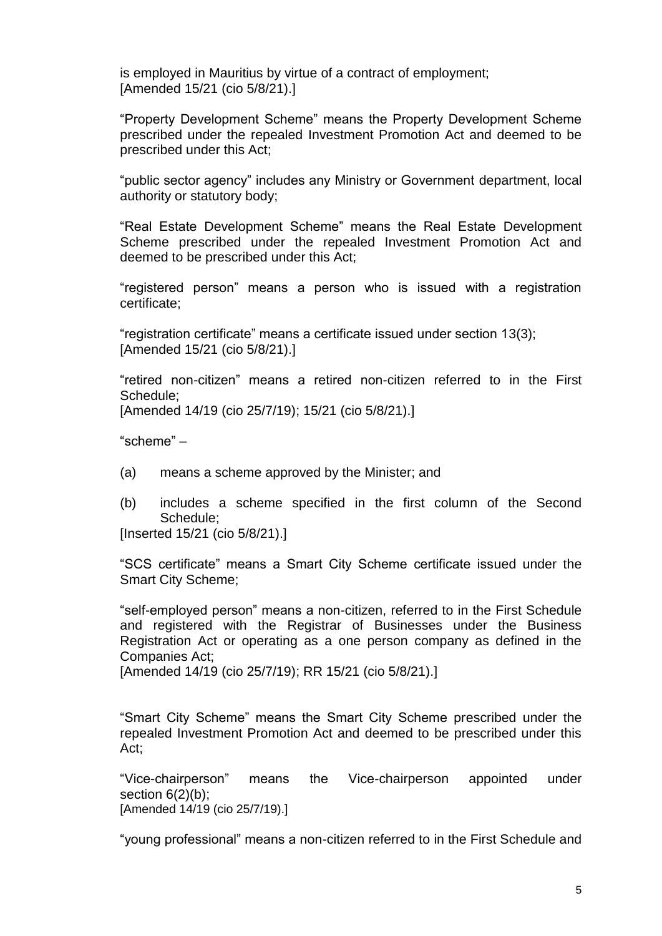is employed in Mauritius by virtue of a contract of employment; [Amended 15/21 (cio 5/8/21).]

"Property Development Scheme" means the Property Development Scheme prescribed under the repealed Investment Promotion Act and deemed to be prescribed under this Act;

"public sector agency" includes any Ministry or Government department, local authority or statutory body;

"Real Estate Development Scheme" means the Real Estate Development Scheme prescribed under the repealed Investment Promotion Act and deemed to be prescribed under this Act;

"registered person" means a person who is issued with a registration certificate;

"registration certificate" means a certificate issued under section 13(3); [Amended 15/21 (cio 5/8/21).]

"retired non-citizen" means a retired non-citizen referred to in the First Schedule; [Amended 14/19 (cio 25/7/19); 15/21 (cio 5/8/21).]

"scheme" –

- (a) means a scheme approved by the Minister; and
- (b) includes a scheme specified in the first column of the Second Schedule;

[Inserted 15/21 (cio 5/8/21).]

"SCS certificate" means a Smart City Scheme certificate issued under the Smart City Scheme;

"self-employed person" means a non-citizen, referred to in the First Schedule and registered with the Registrar of Businesses under the Business Registration Act or operating as a one person company as defined in the Companies Act;

[Amended 14/19 (cio 25/7/19); RR 15/21 (cio 5/8/21).]

"Smart City Scheme" means the Smart City Scheme prescribed under the repealed Investment Promotion Act and deemed to be prescribed under this Act;

"Vice-chairperson" means the Vice-chairperson appointed under section  $6(2)(b)$ ; [Amended 14/19 (cio 25/7/19).]

"young professional" means a non-citizen referred to in the First Schedule and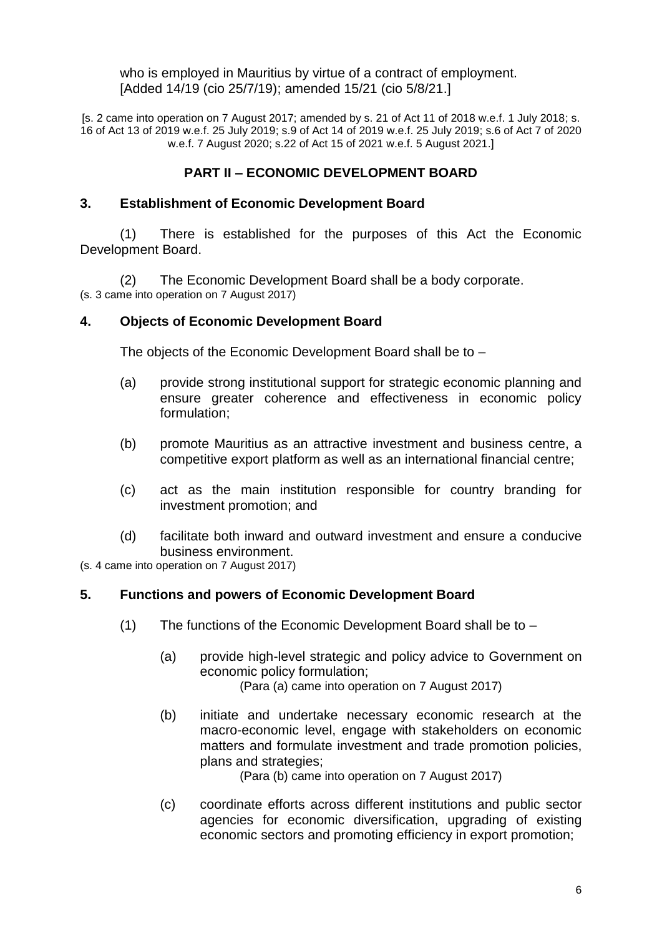who is employed in Mauritius by virtue of a contract of employment. [Added 14/19 (cio 25/7/19); amended 15/21 (cio 5/8/21.]

[s. 2 came into operation on 7 August 2017; amended by s. 21 of Act 11 of 2018 w.e.f. 1 July 2018; s. 16 of Act 13 of 2019 w.e.f. 25 July 2019; s.9 of Act 14 of 2019 w.e.f. 25 July 2019; s.6 of Act 7 of 2020 w.e.f. 7 August 2020; s.22 of Act 15 of 2021 w.e.f. 5 August 2021.]

## **PART II – ECONOMIC DEVELOPMENT BOARD**

#### **3. Establishment of Economic Development Board**

(1) There is established for the purposes of this Act the Economic Development Board.

(2) The Economic Development Board shall be a body corporate. (s. 3 came into operation on 7 August 2017)

#### **4. Objects of Economic Development Board**

The objects of the Economic Development Board shall be to –

- (a) provide strong institutional support for strategic economic planning and ensure greater coherence and effectiveness in economic policy formulation;
- (b) promote Mauritius as an attractive investment and business centre, a competitive export platform as well as an international financial centre;
- (c) act as the main institution responsible for country branding for investment promotion; and
- (d) facilitate both inward and outward investment and ensure a conducive business environment.

(s. 4 came into operation on 7 August 2017)

## **5. Functions and powers of Economic Development Board**

- (1) The functions of the Economic Development Board shall be to
	- (a) provide high-level strategic and policy advice to Government on economic policy formulation; (Para (a) came into operation on 7 August 2017)
	- (b) initiate and undertake necessary economic research at the macro-economic level, engage with stakeholders on economic matters and formulate investment and trade promotion policies, plans and strategies;

(Para (b) came into operation on 7 August 2017)

(c) coordinate efforts across different institutions and public sector agencies for economic diversification, upgrading of existing economic sectors and promoting efficiency in export promotion;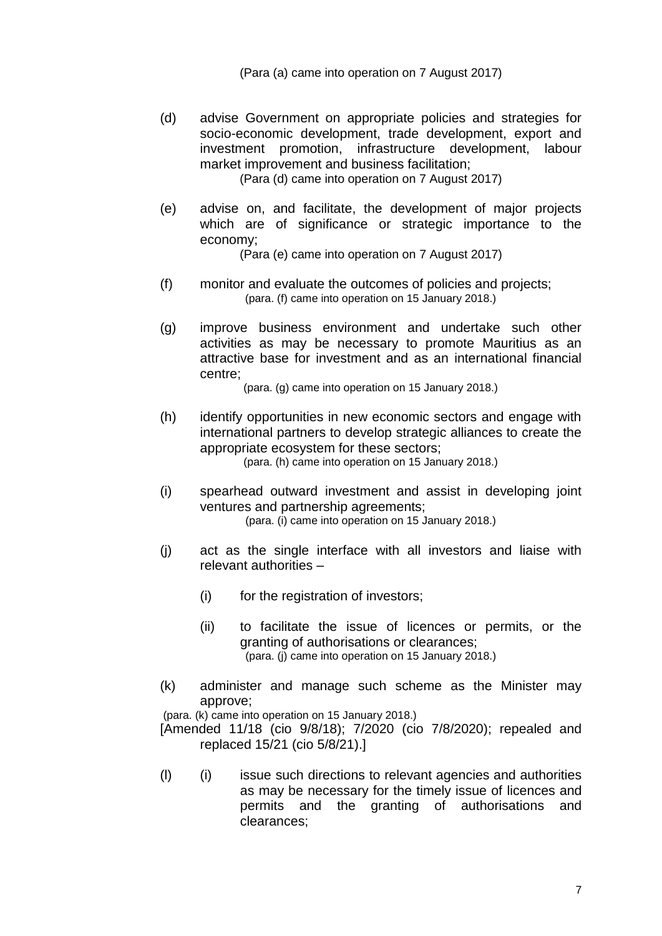(Para (a) came into operation on 7 August 2017)

(d) advise Government on appropriate policies and strategies for socio-economic development, trade development, export and investment promotion, infrastructure development, labour market improvement and business facilitation;

(Para (d) came into operation on 7 August 2017)

(e) advise on, and facilitate, the development of major projects which are of significance or strategic importance to the economy;

(Para (e) came into operation on 7 August 2017)

- (f) monitor and evaluate the outcomes of policies and projects; (para. (f) came into operation on 15 January 2018.)
- (g) improve business environment and undertake such other activities as may be necessary to promote Mauritius as an attractive base for investment and as an international financial centre;

(para. (g) came into operation on 15 January 2018.)

- (h) identify opportunities in new economic sectors and engage with international partners to develop strategic alliances to create the appropriate ecosystem for these sectors; (para. (h) came into operation on 15 January 2018.)
- (i) spearhead outward investment and assist in developing joint ventures and partnership agreements; (para. (i) came into operation on 15 January 2018.)
- (j) act as the single interface with all investors and liaise with relevant authorities –
	- (i) for the registration of investors;
	- (ii) to facilitate the issue of licences or permits, or the granting of authorisations or clearances; (para. (j) came into operation on 15 January 2018.)
- (k) administer and manage such scheme as the Minister may approve;

(para. (k) came into operation on 15 January 2018.)

[Amended 11/18 (cio 9/8/18); 7/2020 (cio 7/8/2020); repealed and replaced 15/21 (cio 5/8/21).]

(l) (i) issue such directions to relevant agencies and authorities as may be necessary for the timely issue of licences and permits and the granting of authorisations and clearances;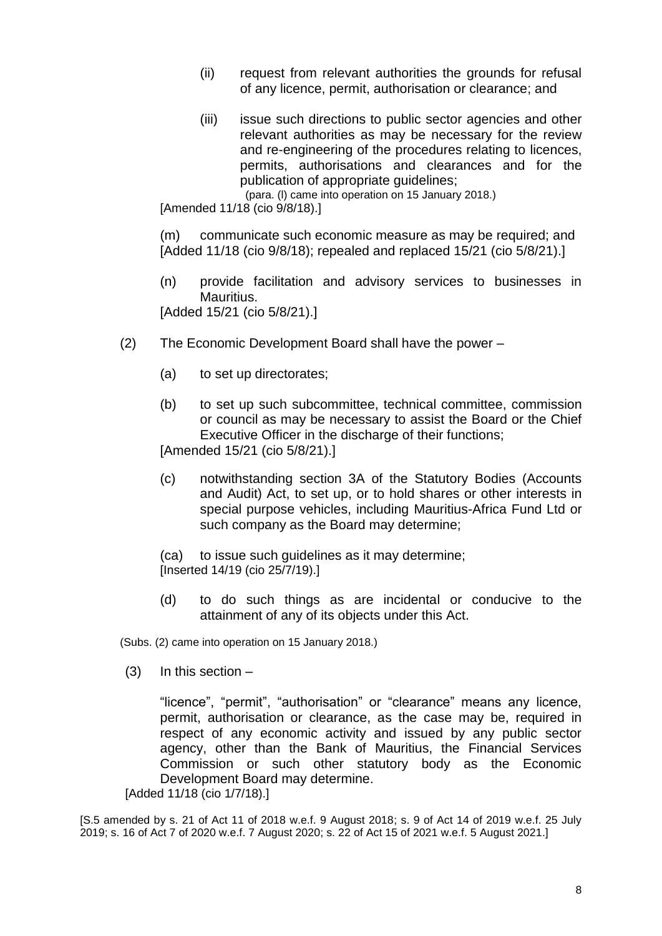- (ii) request from relevant authorities the grounds for refusal of any licence, permit, authorisation or clearance; and
- (iii) issue such directions to public sector agencies and other relevant authorities as may be necessary for the review and re-engineering of the procedures relating to licences, permits, authorisations and clearances and for the publication of appropriate guidelines;

(para. (l) came into operation on 15 January 2018.)

[Amended 11/18 (cio 9/8/18).]

(m) communicate such economic measure as may be required; and [Added 11/18 (cio 9/8/18); repealed and replaced 15/21 (cio 5/8/21).]

(n) provide facilitation and advisory services to businesses in Mauritius. [Added 15/21 (cio 5/8/21).]

- (2) The Economic Development Board shall have the power
	- (a) to set up directorates;
	- (b) to set up such subcommittee, technical committee, commission or council as may be necessary to assist the Board or the Chief Executive Officer in the discharge of their functions;

[Amended 15/21 (cio 5/8/21).]

(c) notwithstanding section 3A of the Statutory Bodies (Accounts and Audit) Act, to set up, or to hold shares or other interests in special purpose vehicles, including Mauritius-Africa Fund Ltd or such company as the Board may determine;

(ca) to issue such guidelines as it may determine; [Inserted 14/19 (cio 25/7/19).]

(d) to do such things as are incidental or conducive to the attainment of any of its objects under this Act.

(Subs. (2) came into operation on 15 January 2018.)

 $(3)$  In this section –

"licence", "permit", "authorisation" or "clearance" means any licence, permit, authorisation or clearance, as the case may be, required in respect of any economic activity and issued by any public sector agency, other than the Bank of Mauritius, the Financial Services Commission or such other statutory body as the Economic Development Board may determine.

[Added 11/18 (cio 1/7/18).]

[S.5 amended by s. 21 of Act 11 of 2018 w.e.f. 9 August 2018; s. 9 of Act 14 of 2019 w.e.f. 25 July 2019; s. 16 of Act 7 of 2020 w.e.f. 7 August 2020; s. 22 of Act 15 of 2021 w.e.f. 5 August 2021.]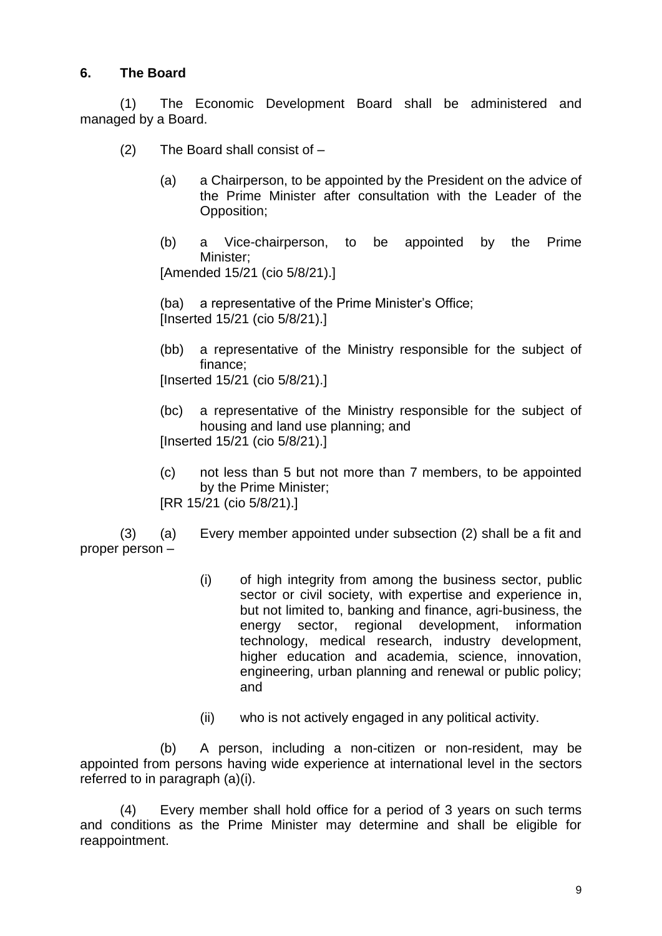## **6. The Board**

(1) The Economic Development Board shall be administered and managed by a Board.

- (2) The Board shall consist of
	- (a) a Chairperson, to be appointed by the President on the advice of the Prime Minister after consultation with the Leader of the Opposition;
	- (b) a Vice-chairperson, to be appointed by the Prime Minister;

[Amended 15/21 (cio 5/8/21).]

(ba) a representative of the Prime Minister's Office; [Inserted 15/21 (cio 5/8/21).]

(bb) a representative of the Ministry responsible for the subject of finance;

[Inserted 15/21 (cio 5/8/21).]

- (bc) a representative of the Ministry responsible for the subject of housing and land use planning; and [Inserted 15/21 (cio 5/8/21).]
- (c) not less than 5 but not more than 7 members, to be appointed by the Prime Minister; [RR 15/21 (cio 5/8/21).]

(3) (a) Every member appointed under subsection (2) shall be a fit and proper person –

- (i) of high integrity from among the business sector, public sector or civil society, with expertise and experience in, but not limited to, banking and finance, agri-business, the energy sector, regional development, information technology, medical research, industry development, higher education and academia, science, innovation, engineering, urban planning and renewal or public policy; and
- (ii) who is not actively engaged in any political activity.

(b) A person, including a non-citizen or non-resident, may be appointed from persons having wide experience at international level in the sectors referred to in paragraph (a)(i).

(4) Every member shall hold office for a period of 3 years on such terms and conditions as the Prime Minister may determine and shall be eligible for reappointment.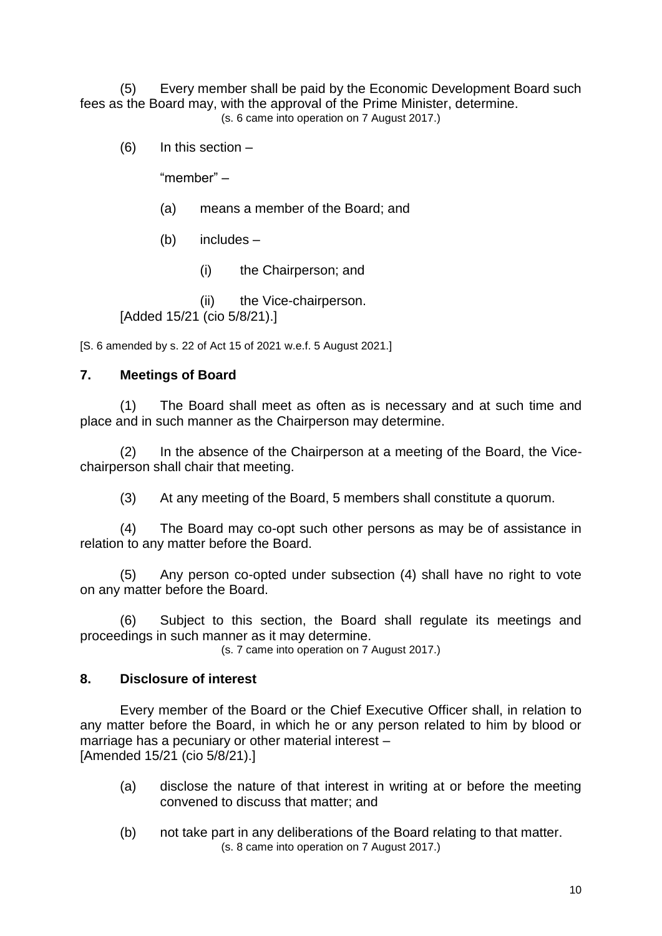(5) Every member shall be paid by the Economic Development Board such fees as the Board may, with the approval of the Prime Minister, determine. (s. 6 came into operation on 7 August 2017.)

(6) In this section –

"member" –

(a) means a member of the Board; and

(b) includes –

(i) the Chairperson; and

(ii) the Vice-chairperson. [Added 15/21 (cio 5/8/21).]

[S. 6 amended by s. 22 of Act 15 of 2021 w.e.f. 5 August 2021.]

#### **7. Meetings of Board**

(1) The Board shall meet as often as is necessary and at such time and place and in such manner as the Chairperson may determine.

(2) In the absence of the Chairperson at a meeting of the Board, the Vicechairperson shall chair that meeting.

(3) At any meeting of the Board, 5 members shall constitute a quorum.

(4) The Board may co-opt such other persons as may be of assistance in relation to any matter before the Board.

(5) Any person co-opted under subsection (4) shall have no right to vote on any matter before the Board.

(6) Subject to this section, the Board shall regulate its meetings and proceedings in such manner as it may determine.

(s. 7 came into operation on 7 August 2017.)

#### **8. Disclosure of interest**

Every member of the Board or the Chief Executive Officer shall, in relation to any matter before the Board, in which he or any person related to him by blood or marriage has a pecuniary or other material interest – [Amended 15/21 (cio 5/8/21).]

- (a) disclose the nature of that interest in writing at or before the meeting convened to discuss that matter; and
- (b) not take part in any deliberations of the Board relating to that matter. (s. 8 came into operation on 7 August 2017.)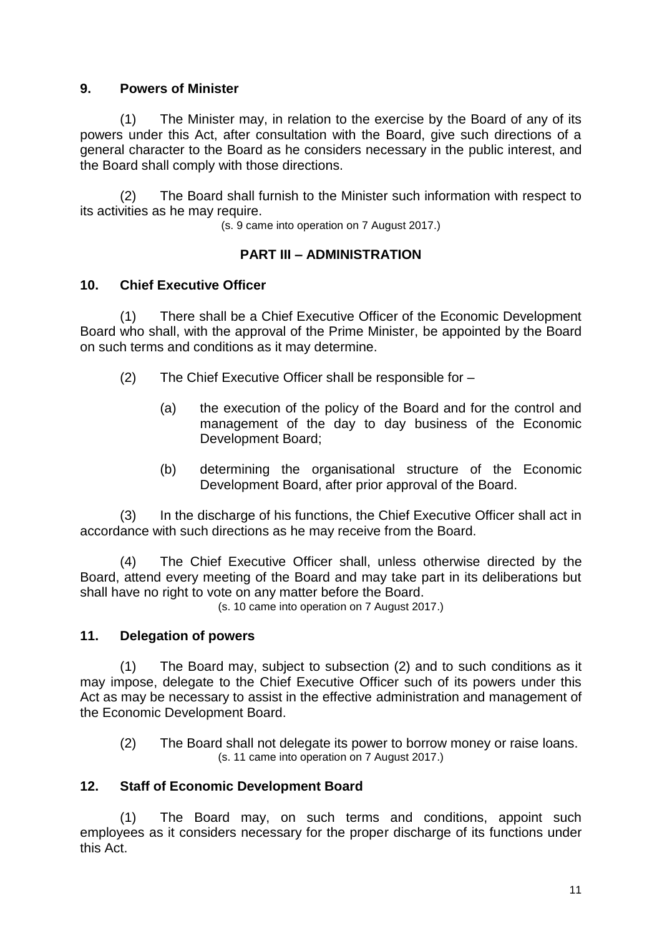#### **9. Powers of Minister**

(1) The Minister may, in relation to the exercise by the Board of any of its powers under this Act, after consultation with the Board, give such directions of a general character to the Board as he considers necessary in the public interest, and the Board shall comply with those directions.

(2) The Board shall furnish to the Minister such information with respect to its activities as he may require.

(s. 9 came into operation on 7 August 2017.)

## **PART III – ADMINISTRATION**

## **10. Chief Executive Officer**

(1) There shall be a Chief Executive Officer of the Economic Development Board who shall, with the approval of the Prime Minister, be appointed by the Board on such terms and conditions as it may determine.

- (2) The Chief Executive Officer shall be responsible for
	- (a) the execution of the policy of the Board and for the control and management of the day to day business of the Economic Development Board;
	- (b) determining the organisational structure of the Economic Development Board, after prior approval of the Board.

(3) In the discharge of his functions, the Chief Executive Officer shall act in accordance with such directions as he may receive from the Board.

(4) The Chief Executive Officer shall, unless otherwise directed by the Board, attend every meeting of the Board and may take part in its deliberations but shall have no right to vote on any matter before the Board.

(s. 10 came into operation on 7 August 2017.)

## **11. Delegation of powers**

(1) The Board may, subject to subsection (2) and to such conditions as it may impose, delegate to the Chief Executive Officer such of its powers under this Act as may be necessary to assist in the effective administration and management of the Economic Development Board.

(2) The Board shall not delegate its power to borrow money or raise loans. (s. 11 came into operation on 7 August 2017.)

## **12. Staff of Economic Development Board**

(1) The Board may, on such terms and conditions, appoint such employees as it considers necessary for the proper discharge of its functions under this Act.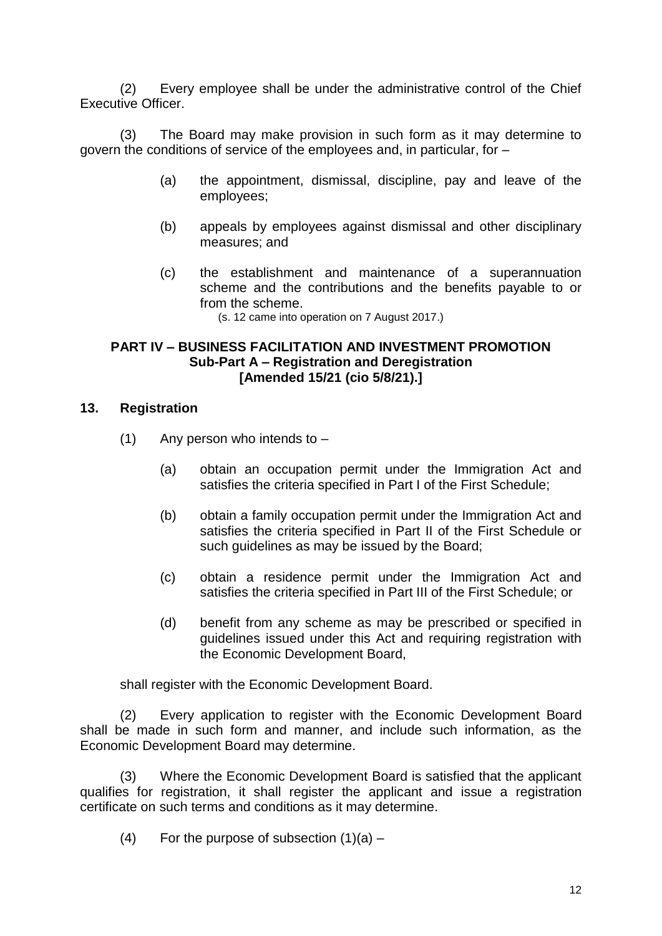(2) Every employee shall be under the administrative control of the Chief Executive Officer.

(3) The Board may make provision in such form as it may determine to govern the conditions of service of the employees and, in particular, for –

- (a) the appointment, dismissal, discipline, pay and leave of the employees;
- (b) appeals by employees against dismissal and other disciplinary measures; and
- (c) the establishment and maintenance of a superannuation scheme and the contributions and the benefits payable to or from the scheme.

(s. 12 came into operation on 7 August 2017.)

#### **PART IV – BUSINESS FACILITATION AND INVESTMENT PROMOTION Sub-Part A – Registration and Deregistration [Amended 15/21 (cio 5/8/21).]**

#### **13. Registration**

- $(1)$  Any person who intends to  $-$ 
	- (a) obtain an occupation permit under the Immigration Act and satisfies the criteria specified in Part I of the First Schedule;
	- (b) obtain a family occupation permit under the Immigration Act and satisfies the criteria specified in Part II of the First Schedule or such guidelines as may be issued by the Board;
	- (c) obtain a residence permit under the Immigration Act and satisfies the criteria specified in Part III of the First Schedule; or
	- (d) benefit from any scheme as may be prescribed or specified in guidelines issued under this Act and requiring registration with the Economic Development Board,

shall register with the Economic Development Board.

(2) Every application to register with the Economic Development Board shall be made in such form and manner, and include such information, as the Economic Development Board may determine.

(3) Where the Economic Development Board is satisfied that the applicant qualifies for registration, it shall register the applicant and issue a registration certificate on such terms and conditions as it may determine.

(4) For the purpose of subsection  $(1)(a)$  –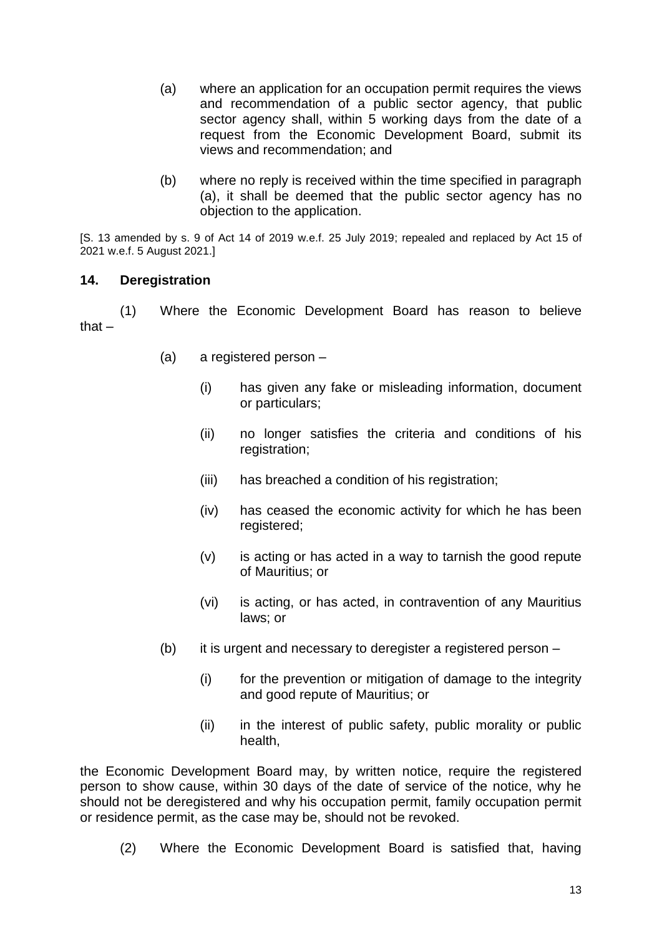- (a) where an application for an occupation permit requires the views and recommendation of a public sector agency, that public sector agency shall, within 5 working days from the date of a request from the Economic Development Board, submit its views and recommendation; and
- (b) where no reply is received within the time specified in paragraph (a), it shall be deemed that the public sector agency has no objection to the application.

[S. 13 amended by s. 9 of Act 14 of 2019 w.e.f. 25 July 2019; repealed and replaced by Act 15 of 2021 w.e.f. 5 August 2021.]

#### **14. Deregistration**

(1) Where the Economic Development Board has reason to believe that –

- (a) a registered person
	- (i) has given any fake or misleading information, document or particulars;
	- (ii) no longer satisfies the criteria and conditions of his registration;
	- (iii) has breached a condition of his registration;
	- (iv) has ceased the economic activity for which he has been registered;
	- (v) is acting or has acted in a way to tarnish the good repute of Mauritius; or
	- (vi) is acting, or has acted, in contravention of any Mauritius laws; or
- (b) it is urgent and necessary to deregister a registered person  $-$ 
	- (i) for the prevention or mitigation of damage to the integrity and good repute of Mauritius; or
	- (ii) in the interest of public safety, public morality or public health,

the Economic Development Board may, by written notice, require the registered person to show cause, within 30 days of the date of service of the notice, why he should not be deregistered and why his occupation permit, family occupation permit or residence permit, as the case may be, should not be revoked.

(2) Where the Economic Development Board is satisfied that, having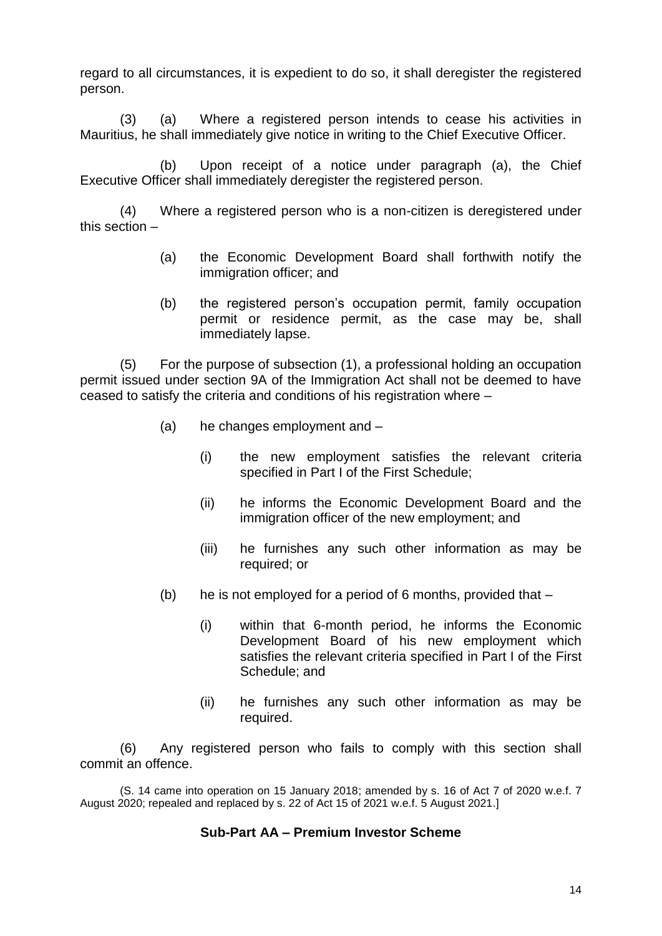regard to all circumstances, it is expedient to do so, it shall deregister the registered person.

(3) (a) Where a registered person intends to cease his activities in Mauritius, he shall immediately give notice in writing to the Chief Executive Officer.

(b) Upon receipt of a notice under paragraph (a), the Chief Executive Officer shall immediately deregister the registered person.

(4) Where a registered person who is a non-citizen is deregistered under this section –

- (a) the Economic Development Board shall forthwith notify the immigration officer; and
- (b) the registered person's occupation permit, family occupation permit or residence permit, as the case may be, shall immediately lapse.

(5) For the purpose of subsection (1), a professional holding an occupation permit issued under section 9A of the Immigration Act shall not be deemed to have ceased to satisfy the criteria and conditions of his registration where –

- (a) he changes employment and
	- (i) the new employment satisfies the relevant criteria specified in Part I of the First Schedule;
	- (ii) he informs the Economic Development Board and the immigration officer of the new employment; and
	- (iii) he furnishes any such other information as may be required; or
- (b) he is not employed for a period of 6 months, provided that  $-$ 
	- (i) within that 6-month period, he informs the Economic Development Board of his new employment which satisfies the relevant criteria specified in Part I of the First Schedule; and
	- (ii) he furnishes any such other information as may be required.

(6) Any registered person who fails to comply with this section shall commit an offence.

(S. 14 came into operation on 15 January 2018; amended by s. 16 of Act 7 of 2020 w.e.f. 7 August 2020; repealed and replaced by s. 22 of Act 15 of 2021 w.e.f. 5 August 2021.]

#### **Sub-Part AA – Premium Investor Scheme**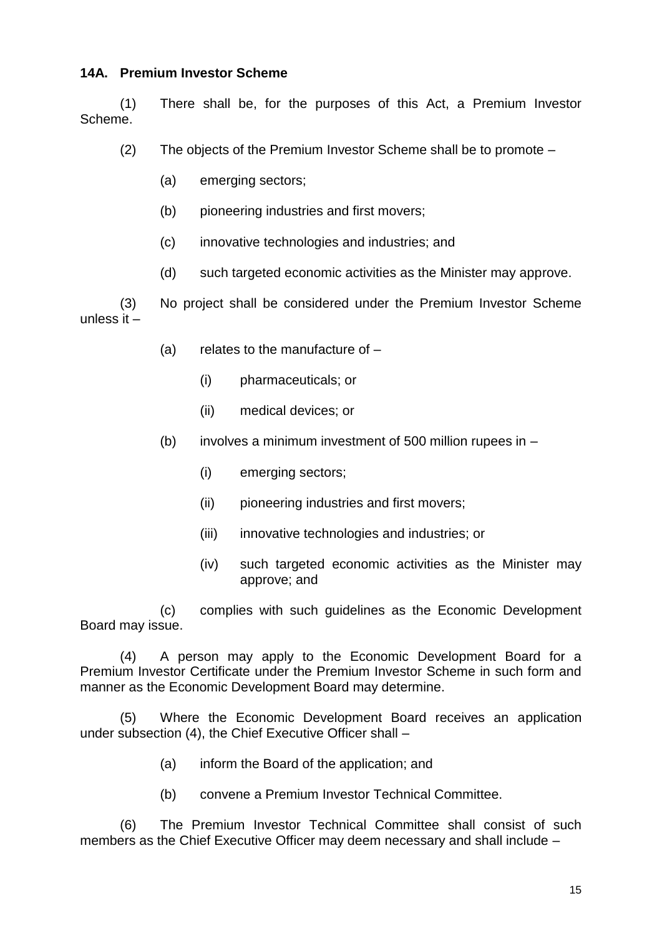#### **14A. Premium Investor Scheme**

(1) There shall be, for the purposes of this Act, a Premium Investor Scheme.

(2) The objects of the Premium Investor Scheme shall be to promote –

- (a) emerging sectors;
- (b) pioneering industries and first movers;
- (c) innovative technologies and industries; and
- (d) such targeted economic activities as the Minister may approve.

(3) No project shall be considered under the Premium Investor Scheme unless it –

- (a) relates to the manufacture of
	- (i) pharmaceuticals; or
	- (ii) medical devices; or
- (b) involves a minimum investment of 500 million rupees in  $-$ 
	- (i) emerging sectors;
	- (ii) pioneering industries and first movers;
	- (iii) innovative technologies and industries; or
	- (iv) such targeted economic activities as the Minister may approve; and

(c) complies with such guidelines as the Economic Development Board may issue.

(4) A person may apply to the Economic Development Board for a Premium Investor Certificate under the Premium Investor Scheme in such form and manner as the Economic Development Board may determine.

(5) Where the Economic Development Board receives an application under subsection (4), the Chief Executive Officer shall –

- (a) inform the Board of the application; and
- (b) convene a Premium Investor Technical Committee.

(6) The Premium Investor Technical Committee shall consist of such members as the Chief Executive Officer may deem necessary and shall include –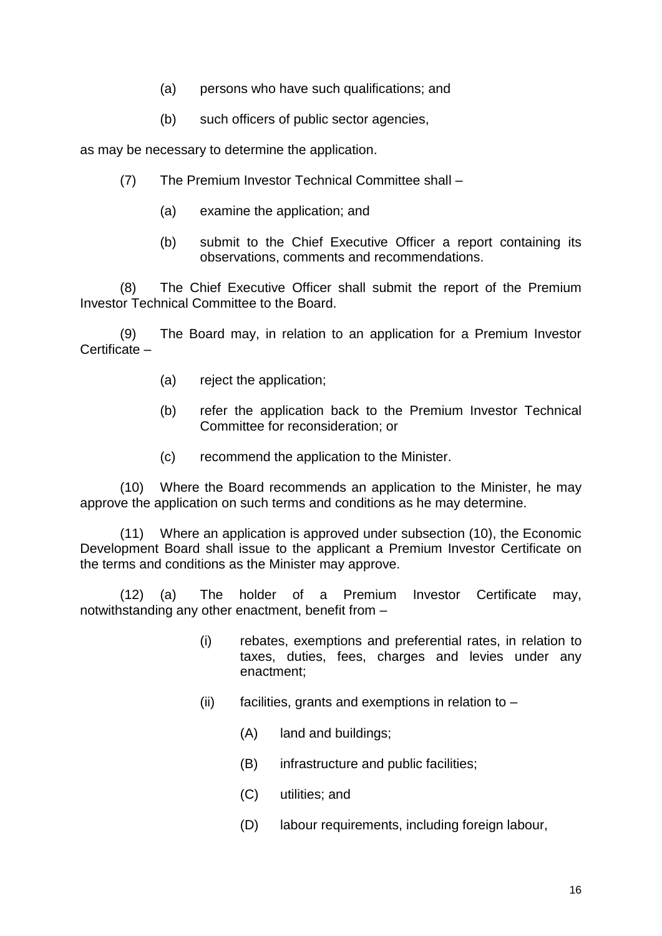- (a) persons who have such qualifications; and
- (b) such officers of public sector agencies,

as may be necessary to determine the application.

- (7) The Premium Investor Technical Committee shall
	- (a) examine the application; and
	- (b) submit to the Chief Executive Officer a report containing its observations, comments and recommendations.

(8) The Chief Executive Officer shall submit the report of the Premium Investor Technical Committee to the Board.

(9) The Board may, in relation to an application for a Premium Investor Certificate –

- (a) reject the application;
- (b) refer the application back to the Premium Investor Technical Committee for reconsideration; or
- (c) recommend the application to the Minister.

(10) Where the Board recommends an application to the Minister, he may approve the application on such terms and conditions as he may determine.

(11) Where an application is approved under subsection (10), the Economic Development Board shall issue to the applicant a Premium Investor Certificate on the terms and conditions as the Minister may approve.

(12) (a) The holder of a Premium Investor Certificate may, notwithstanding any other enactment, benefit from –

- (i) rebates, exemptions and preferential rates, in relation to taxes, duties, fees, charges and levies under any enactment;
- (ii) facilities, grants and exemptions in relation to  $-$ 
	- (A) land and buildings;
	- (B) infrastructure and public facilities;
	- (C) utilities; and
	- (D) labour requirements, including foreign labour,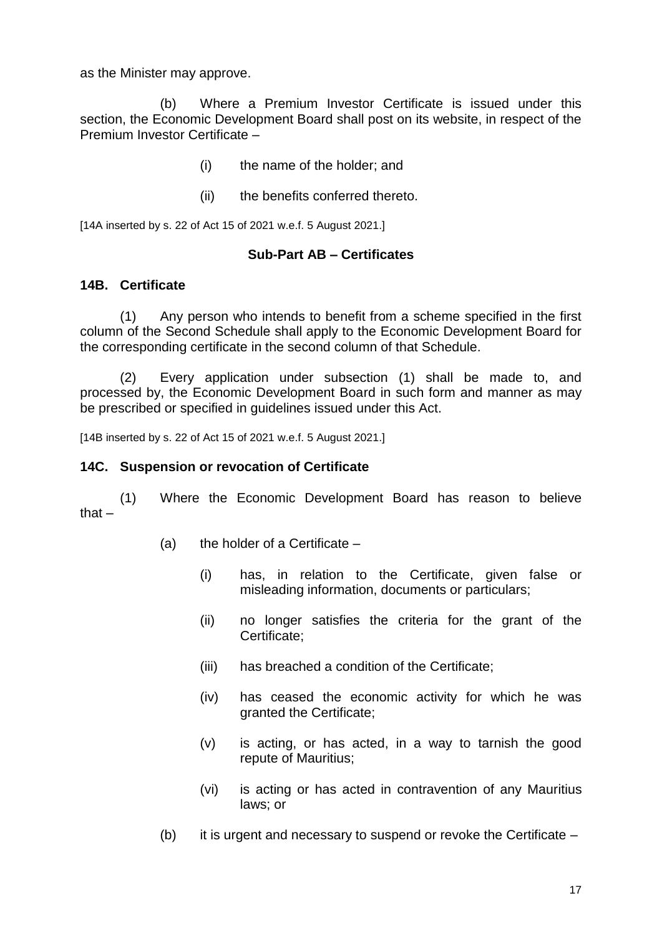as the Minister may approve.

(b) Where a Premium Investor Certificate is issued under this section, the Economic Development Board shall post on its website, in respect of the Premium Investor Certificate –

- (i) the name of the holder; and
- (ii) the benefits conferred thereto.

[14A inserted by s. 22 of Act 15 of 2021 w.e.f. 5 August 2021.]

#### **Sub-Part AB – Certificates**

#### **14B. Certificate**

(1) Any person who intends to benefit from a scheme specified in the first column of the Second Schedule shall apply to the Economic Development Board for the corresponding certificate in the second column of that Schedule.

(2) Every application under subsection (1) shall be made to, and processed by, the Economic Development Board in such form and manner as may be prescribed or specified in guidelines issued under this Act.

[14B inserted by s. 22 of Act 15 of 2021 w.e.f. 5 August 2021.]

#### **14C. Suspension or revocation of Certificate**

(1) Where the Economic Development Board has reason to believe that –

- $(a)$  the holder of a Certificate
	- (i) has, in relation to the Certificate, given false or misleading information, documents or particulars;
	- (ii) no longer satisfies the criteria for the grant of the Certificate;
	- (iii) has breached a condition of the Certificate;
	- (iv) has ceased the economic activity for which he was granted the Certificate;
	- (v) is acting, or has acted, in a way to tarnish the good repute of Mauritius;
	- (vi) is acting or has acted in contravention of any Mauritius laws; or
- (b) it is urgent and necessary to suspend or revoke the Certificate  $-$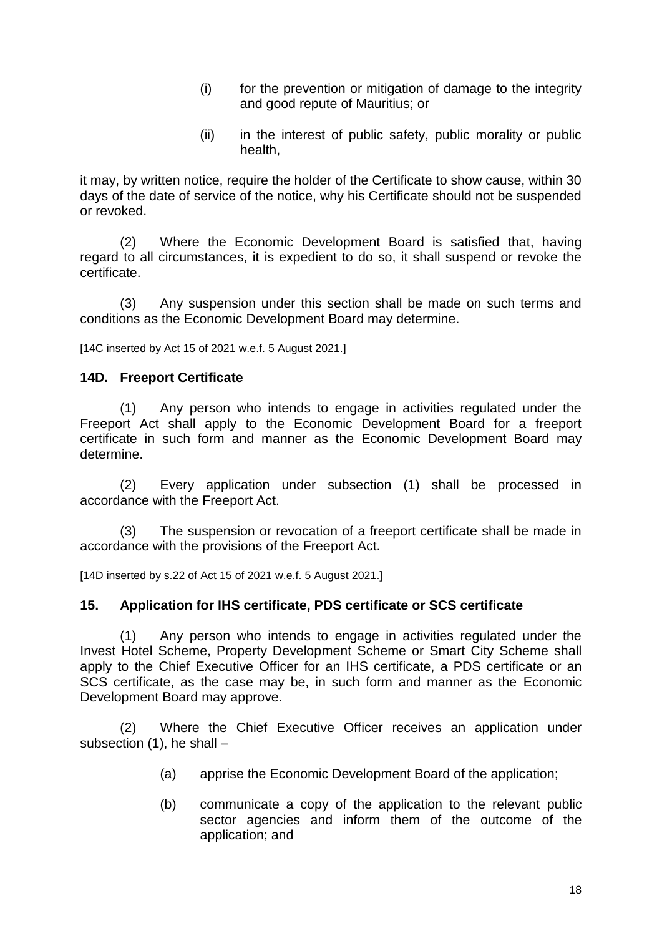- (i) for the prevention or mitigation of damage to the integrity and good repute of Mauritius; or
- (ii) in the interest of public safety, public morality or public health,

it may, by written notice, require the holder of the Certificate to show cause, within 30 days of the date of service of the notice, why his Certificate should not be suspended or revoked.

(2) Where the Economic Development Board is satisfied that, having regard to all circumstances, it is expedient to do so, it shall suspend or revoke the certificate.

(3) Any suspension under this section shall be made on such terms and conditions as the Economic Development Board may determine.

[14C inserted by Act 15 of 2021 w.e.f. 5 August 2021.]

#### **14D. Freeport Certificate**

(1) Any person who intends to engage in activities regulated under the Freeport Act shall apply to the Economic Development Board for a freeport certificate in such form and manner as the Economic Development Board may determine.

(2) Every application under subsection (1) shall be processed in accordance with the Freeport Act.

(3) The suspension or revocation of a freeport certificate shall be made in accordance with the provisions of the Freeport Act.

[14D inserted by s.22 of Act 15 of 2021 w.e.f. 5 August 2021.]

#### **15. Application for IHS certificate, PDS certificate or SCS certificate**

(1) Any person who intends to engage in activities regulated under the Invest Hotel Scheme, Property Development Scheme or Smart City Scheme shall apply to the Chief Executive Officer for an IHS certificate, a PDS certificate or an SCS certificate, as the case may be, in such form and manner as the Economic Development Board may approve.

(2) Where the Chief Executive Officer receives an application under subsection  $(1)$ , he shall  $-$ 

- (a) apprise the Economic Development Board of the application;
- (b) communicate a copy of the application to the relevant public sector agencies and inform them of the outcome of the application; and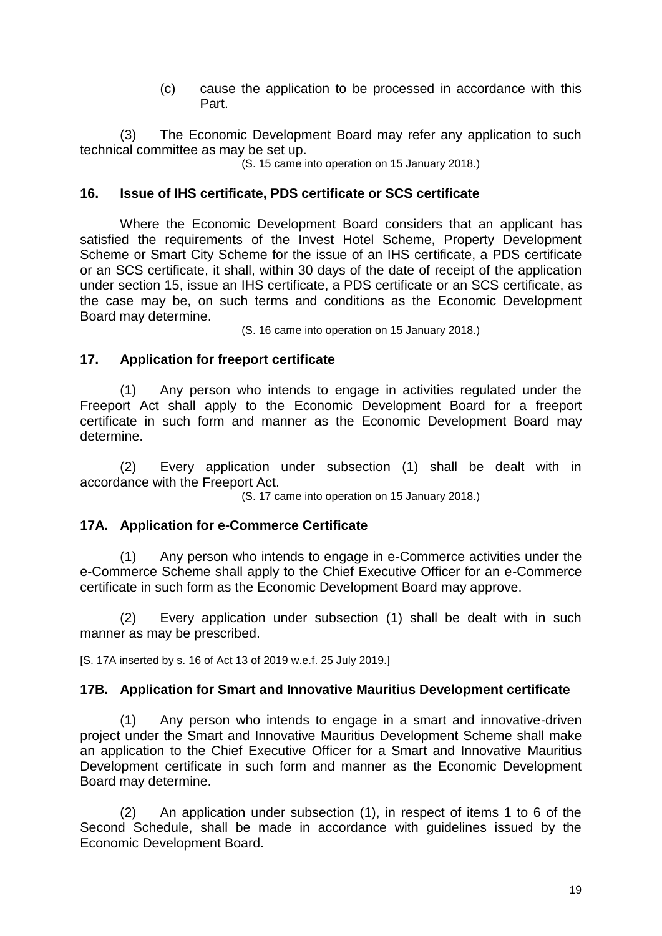(c) cause the application to be processed in accordance with this Part.

(3) The Economic Development Board may refer any application to such technical committee as may be set up.

(S. 15 came into operation on 15 January 2018.)

#### **16. Issue of IHS certificate, PDS certificate or SCS certificate**

Where the Economic Development Board considers that an applicant has satisfied the requirements of the Invest Hotel Scheme, Property Development Scheme or Smart City Scheme for the issue of an IHS certificate, a PDS certificate or an SCS certificate, it shall, within 30 days of the date of receipt of the application under section 15, issue an IHS certificate, a PDS certificate or an SCS certificate, as the case may be, on such terms and conditions as the Economic Development Board may determine.

(S. 16 came into operation on 15 January 2018.)

#### **17. Application for freeport certificate**

(1) Any person who intends to engage in activities regulated under the Freeport Act shall apply to the Economic Development Board for a freeport certificate in such form and manner as the Economic Development Board may determine.

(2) Every application under subsection (1) shall be dealt with in accordance with the Freeport Act.

(S. 17 came into operation on 15 January 2018.)

#### **17A. Application for e-Commerce Certificate**

(1) Any person who intends to engage in e-Commerce activities under the e-Commerce Scheme shall apply to the Chief Executive Officer for an e-Commerce certificate in such form as the Economic Development Board may approve.

(2) Every application under subsection (1) shall be dealt with in such manner as may be prescribed.

[S. 17A inserted by s. 16 of Act 13 of 2019 w.e.f. 25 July 2019.]

#### **17B. Application for Smart and Innovative Mauritius Development certificate**

(1) Any person who intends to engage in a smart and innovative-driven project under the Smart and Innovative Mauritius Development Scheme shall make an application to the Chief Executive Officer for a Smart and Innovative Mauritius Development certificate in such form and manner as the Economic Development Board may determine.

(2) An application under subsection (1), in respect of items 1 to 6 of the Second Schedule, shall be made in accordance with guidelines issued by the Economic Development Board.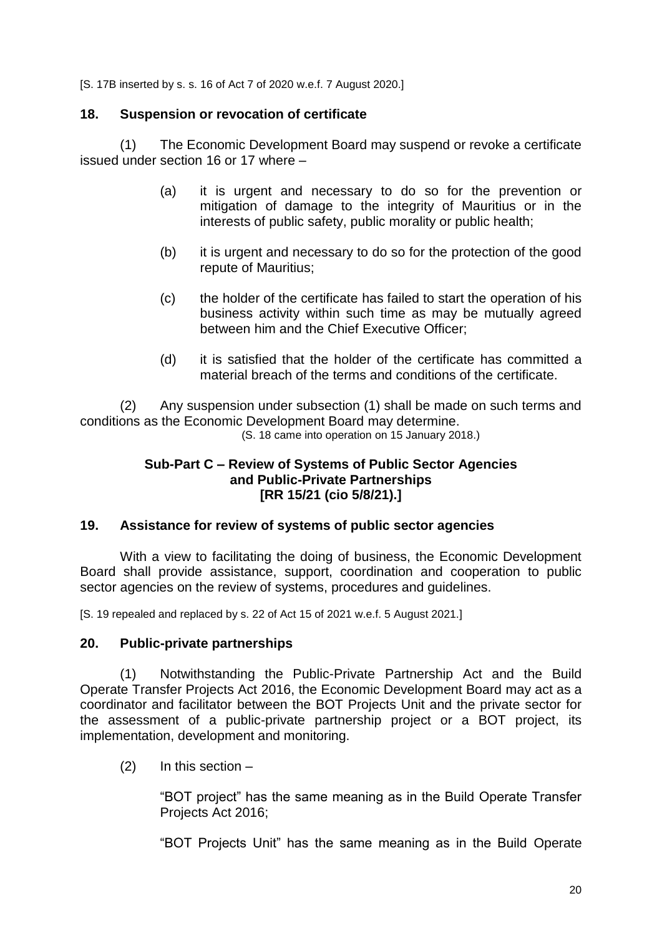[S. 17B inserted by s. s. 16 of Act 7 of 2020 w.e.f. 7 August 2020.]

#### **18. Suspension or revocation of certificate**

(1) The Economic Development Board may suspend or revoke a certificate issued under section 16 or 17 where –

- (a) it is urgent and necessary to do so for the prevention or mitigation of damage to the integrity of Mauritius or in the interests of public safety, public morality or public health;
- (b) it is urgent and necessary to do so for the protection of the good repute of Mauritius;
- (c) the holder of the certificate has failed to start the operation of his business activity within such time as may be mutually agreed between him and the Chief Executive Officer;
- (d) it is satisfied that the holder of the certificate has committed a material breach of the terms and conditions of the certificate.

(2) Any suspension under subsection (1) shall be made on such terms and conditions as the Economic Development Board may determine.

# (S. 18 came into operation on 15 January 2018.)

#### **Sub-Part C – Review of Systems of Public Sector Agencies and Public-Private Partnerships [RR 15/21 (cio 5/8/21).]**

#### **19. Assistance for review of systems of public sector agencies**

With a view to facilitating the doing of business, the Economic Development Board shall provide assistance, support, coordination and cooperation to public sector agencies on the review of systems, procedures and guidelines.

[S. 19 repealed and replaced by s. 22 of Act 15 of 2021 w.e.f. 5 August 2021.]

#### **20. Public-private partnerships**

(1) Notwithstanding the Public-Private Partnership Act and the Build Operate Transfer Projects Act 2016, the Economic Development Board may act as a coordinator and facilitator between the BOT Projects Unit and the private sector for the assessment of a public-private partnership project or a BOT project, its implementation, development and monitoring.

 $(2)$  In this section –

"BOT project" has the same meaning as in the Build Operate Transfer Projects Act 2016;

"BOT Projects Unit" has the same meaning as in the Build Operate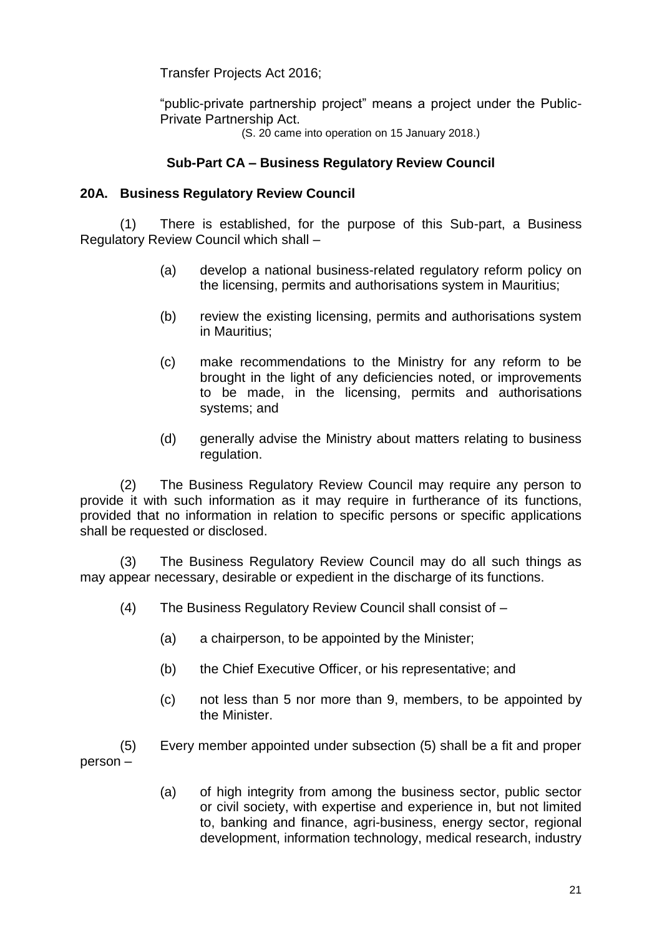Transfer Projects Act 2016;

"public-private partnership project" means a project under the Public-Private Partnership Act.

(S. 20 came into operation on 15 January 2018.)

## **Sub-Part CA – Business Regulatory Review Council**

## **20A. Business Regulatory Review Council**

(1) There is established, for the purpose of this Sub-part, a Business Regulatory Review Council which shall –

- (a) develop a national business-related regulatory reform policy on the licensing, permits and authorisations system in Mauritius;
- (b) review the existing licensing, permits and authorisations system in Mauritius;
- (c) make recommendations to the Ministry for any reform to be brought in the light of any deficiencies noted, or improvements to be made, in the licensing, permits and authorisations systems; and
- (d) generally advise the Ministry about matters relating to business regulation.

(2) The Business Regulatory Review Council may require any person to provide it with such information as it may require in furtherance of its functions, provided that no information in relation to specific persons or specific applications shall be requested or disclosed.

(3) The Business Regulatory Review Council may do all such things as may appear necessary, desirable or expedient in the discharge of its functions.

- (4) The Business Regulatory Review Council shall consist of
	- (a) a chairperson, to be appointed by the Minister;
	- (b) the Chief Executive Officer, or his representative; and
	- (c) not less than 5 nor more than 9, members, to be appointed by the Minister.

(5) Every member appointed under subsection (5) shall be a fit and proper person –

> (a) of high integrity from among the business sector, public sector or civil society, with expertise and experience in, but not limited to, banking and finance, agri-business, energy sector, regional development, information technology, medical research, industry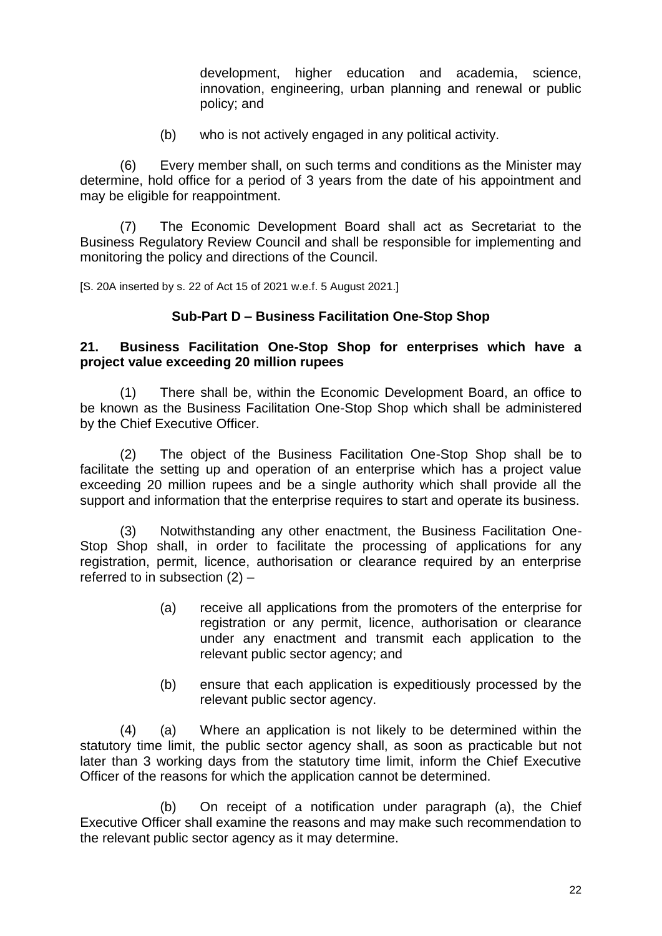development, higher education and academia, science, innovation, engineering, urban planning and renewal or public policy; and

(b) who is not actively engaged in any political activity.

(6) Every member shall, on such terms and conditions as the Minister may determine, hold office for a period of 3 years from the date of his appointment and may be eligible for reappointment.

(7) The Economic Development Board shall act as Secretariat to the Business Regulatory Review Council and shall be responsible for implementing and monitoring the policy and directions of the Council.

[S. 20A inserted by s. 22 of Act 15 of 2021 w.e.f. 5 August 2021.]

#### **Sub-Part D – Business Facilitation One-Stop Shop**

#### **21. Business Facilitation One-Stop Shop for enterprises which have a project value exceeding 20 million rupees**

(1) There shall be, within the Economic Development Board, an office to be known as the Business Facilitation One-Stop Shop which shall be administered by the Chief Executive Officer.

(2) The object of the Business Facilitation One-Stop Shop shall be to facilitate the setting up and operation of an enterprise which has a project value exceeding 20 million rupees and be a single authority which shall provide all the support and information that the enterprise requires to start and operate its business.

(3) Notwithstanding any other enactment, the Business Facilitation One-Stop Shop shall, in order to facilitate the processing of applications for any registration, permit, licence, authorisation or clearance required by an enterprise referred to in subsection (2) –

- (a) receive all applications from the promoters of the enterprise for registration or any permit, licence, authorisation or clearance under any enactment and transmit each application to the relevant public sector agency; and
- (b) ensure that each application is expeditiously processed by the relevant public sector agency.

(4) (a) Where an application is not likely to be determined within the statutory time limit, the public sector agency shall, as soon as practicable but not later than 3 working days from the statutory time limit, inform the Chief Executive Officer of the reasons for which the application cannot be determined.

(b) On receipt of a notification under paragraph (a), the Chief Executive Officer shall examine the reasons and may make such recommendation to the relevant public sector agency as it may determine.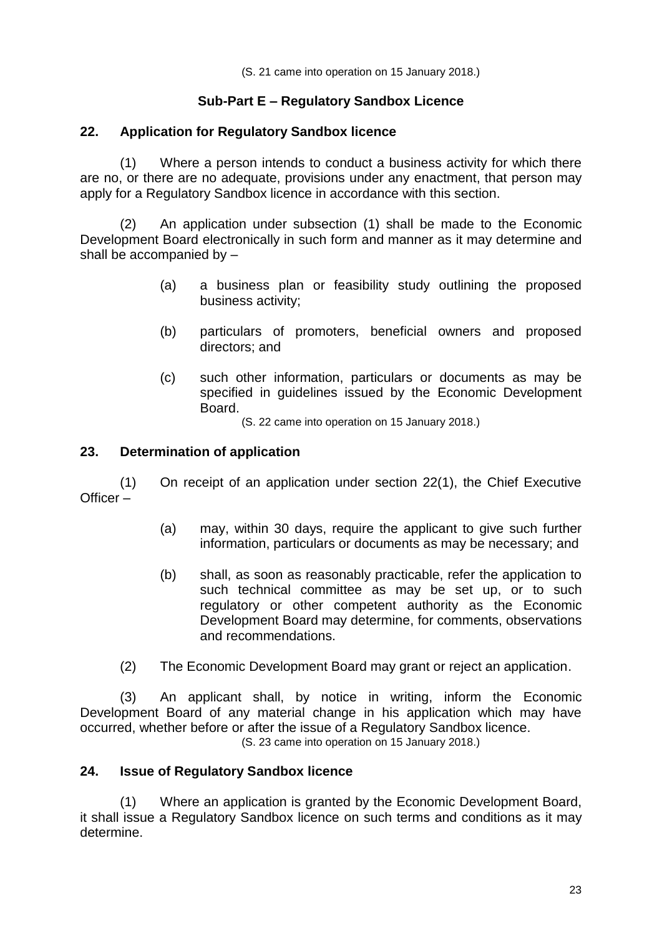(S. 21 came into operation on 15 January 2018.)

# **Sub-Part E – Regulatory Sandbox Licence**

#### **22. Application for Regulatory Sandbox licence**

(1) Where a person intends to conduct a business activity for which there are no, or there are no adequate, provisions under any enactment, that person may apply for a Regulatory Sandbox licence in accordance with this section.

(2) An application under subsection (1) shall be made to the Economic Development Board electronically in such form and manner as it may determine and shall be accompanied by –

- (a) a business plan or feasibility study outlining the proposed business activity;
- (b) particulars of promoters, beneficial owners and proposed directors; and
- (c) such other information, particulars or documents as may be specified in guidelines issued by the Economic Development Board.

(S. 22 came into operation on 15 January 2018.)

#### **23. Determination of application**

(1) On receipt of an application under section 22(1), the Chief Executive Officer –

- (a) may, within 30 days, require the applicant to give such further information, particulars or documents as may be necessary; and
- (b) shall, as soon as reasonably practicable, refer the application to such technical committee as may be set up, or to such regulatory or other competent authority as the Economic Development Board may determine, for comments, observations and recommendations.
- (2) The Economic Development Board may grant or reject an application.

(3) An applicant shall, by notice in writing, inform the Economic Development Board of any material change in his application which may have occurred, whether before or after the issue of a Regulatory Sandbox licence. (S. 23 came into operation on 15 January 2018.)

#### **24. Issue of Regulatory Sandbox licence**

(1) Where an application is granted by the Economic Development Board, it shall issue a Regulatory Sandbox licence on such terms and conditions as it may determine.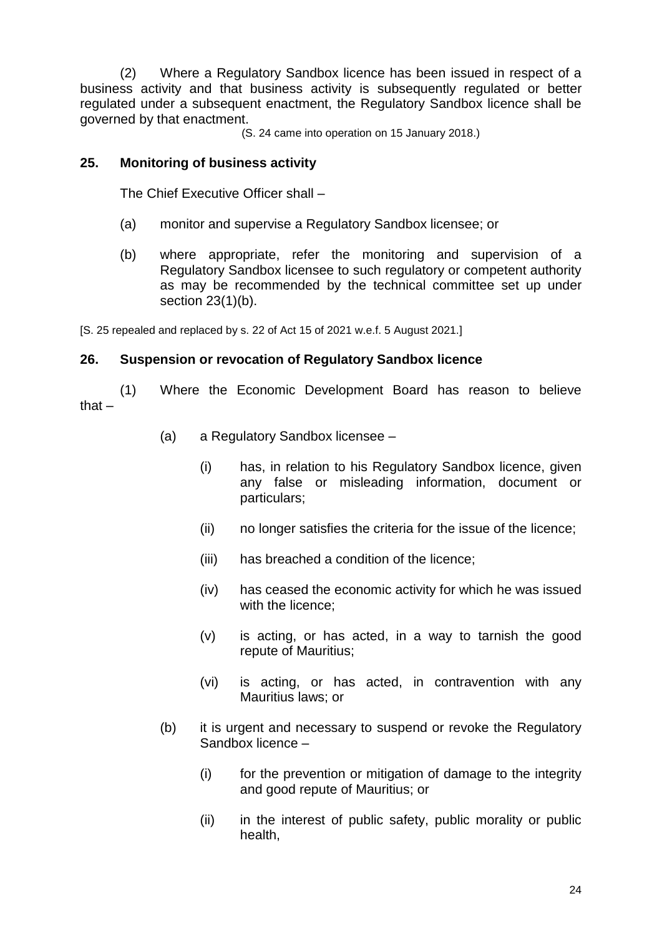(2) Where a Regulatory Sandbox licence has been issued in respect of a business activity and that business activity is subsequently regulated or better regulated under a subsequent enactment, the Regulatory Sandbox licence shall be governed by that enactment.

(S. 24 came into operation on 15 January 2018.)

#### **25. Monitoring of business activity**

The Chief Executive Officer shall –

- (a) monitor and supervise a Regulatory Sandbox licensee; or
- (b) where appropriate, refer the monitoring and supervision of a Regulatory Sandbox licensee to such regulatory or competent authority as may be recommended by the technical committee set up under section 23(1)(b).

[S. 25 repealed and replaced by s. 22 of Act 15 of 2021 w.e.f. 5 August 2021.]

#### **26. Suspension or revocation of Regulatory Sandbox licence**

(1) Where the Economic Development Board has reason to believe that –

- (a) a Regulatory Sandbox licensee
	- (i) has, in relation to his Regulatory Sandbox licence, given any false or misleading information, document or particulars;
	- (ii) no longer satisfies the criteria for the issue of the licence;
	- (iii) has breached a condition of the licence;
	- (iv) has ceased the economic activity for which he was issued with the licence:
	- (v) is acting, or has acted, in a way to tarnish the good repute of Mauritius;
	- (vi) is acting, or has acted, in contravention with any Mauritius laws; or
- (b) it is urgent and necessary to suspend or revoke the Regulatory Sandbox licence –
	- (i) for the prevention or mitigation of damage to the integrity and good repute of Mauritius; or
	- (ii) in the interest of public safety, public morality or public health,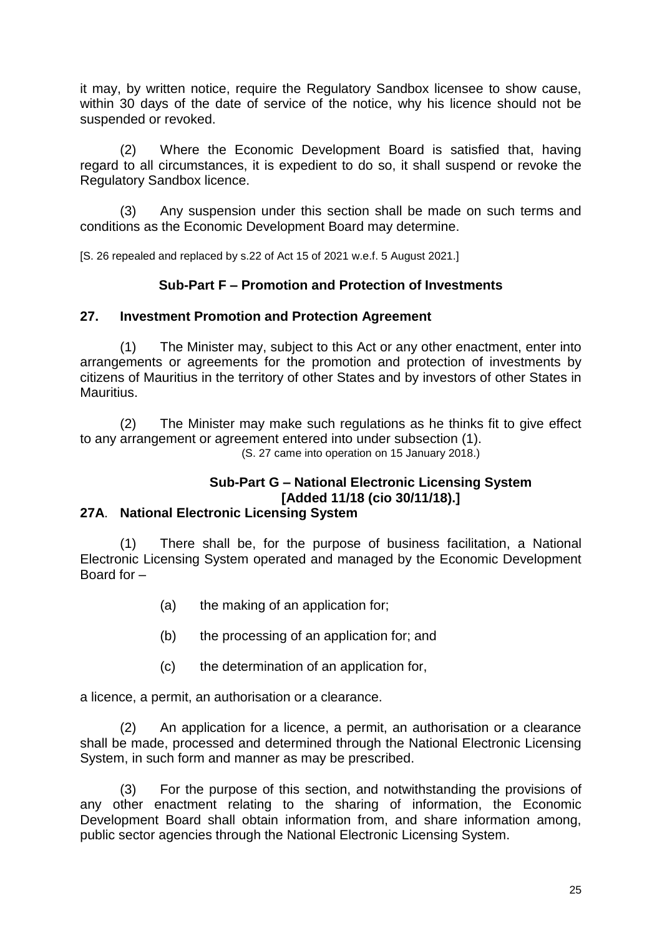it may, by written notice, require the Regulatory Sandbox licensee to show cause, within 30 days of the date of service of the notice, why his licence should not be suspended or revoked.

(2) Where the Economic Development Board is satisfied that, having regard to all circumstances, it is expedient to do so, it shall suspend or revoke the Regulatory Sandbox licence.

(3) Any suspension under this section shall be made on such terms and conditions as the Economic Development Board may determine.

[S. 26 repealed and replaced by s.22 of Act 15 of 2021 w.e.f. 5 August 2021.]

#### **Sub-Part F – Promotion and Protection of Investments**

#### **27. Investment Promotion and Protection Agreement**

(1) The Minister may, subject to this Act or any other enactment, enter into arrangements or agreements for the promotion and protection of investments by citizens of Mauritius in the territory of other States and by investors of other States in Mauritius.

(2) The Minister may make such regulations as he thinks fit to give effect to any arrangement or agreement entered into under subsection (1). (S. 27 came into operation on 15 January 2018.)

# **Sub-Part G – National Electronic Licensing System [Added 11/18 (cio 30/11/18).]**

#### **27A**. **National Electronic Licensing System**

There shall be, for the purpose of business facilitation, a National Electronic Licensing System operated and managed by the Economic Development Board for –

- (a) the making of an application for;
- (b) the processing of an application for; and
- (c) the determination of an application for,

a licence, a permit, an authorisation or a clearance.

(2) An application for a licence, a permit, an authorisation or a clearance shall be made, processed and determined through the National Electronic Licensing System, in such form and manner as may be prescribed.

(3) For the purpose of this section, and notwithstanding the provisions of any other enactment relating to the sharing of information, the Economic Development Board shall obtain information from, and share information among, public sector agencies through the National Electronic Licensing System.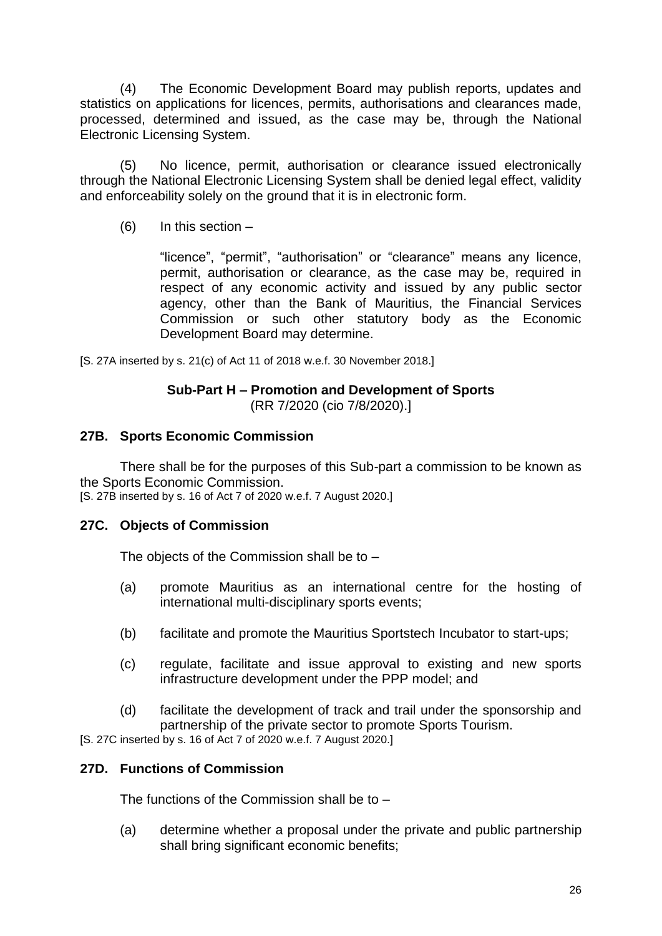(4) The Economic Development Board may publish reports, updates and statistics on applications for licences, permits, authorisations and clearances made, processed, determined and issued, as the case may be, through the National Electronic Licensing System.

(5) No licence, permit, authorisation or clearance issued electronically through the National Electronic Licensing System shall be denied legal effect, validity and enforceability solely on the ground that it is in electronic form.

(6) In this section –

"licence", "permit", "authorisation" or "clearance" means any licence, permit, authorisation or clearance, as the case may be, required in respect of any economic activity and issued by any public sector agency, other than the Bank of Mauritius, the Financial Services Commission or such other statutory body as the Economic Development Board may determine.

[S. 27A inserted by s. 21(c) of Act 11 of 2018 w.e.f. 30 November 2018.]

#### **Sub-Part H – Promotion and Development of Sports** (RR 7/2020 (cio 7/8/2020).]

#### **27B. Sports Economic Commission**

There shall be for the purposes of this Sub-part a commission to be known as the Sports Economic Commission.

[S. 27B inserted by s. 16 of Act 7 of 2020 w.e.f. 7 August 2020.]

## **27C. Objects of Commission**

The objects of the Commission shall be to –

- (a) promote Mauritius as an international centre for the hosting of international multi-disciplinary sports events;
- (b) facilitate and promote the Mauritius Sportstech Incubator to start-ups;
- (c) regulate, facilitate and issue approval to existing and new sports infrastructure development under the PPP model; and
- (d) facilitate the development of track and trail under the sponsorship and partnership of the private sector to promote Sports Tourism.

[S. 27C inserted by s. 16 of Act 7 of 2020 w.e.f. 7 August 2020.]

## **27D. Functions of Commission**

The functions of the Commission shall be to –

(a) determine whether a proposal under the private and public partnership shall bring significant economic benefits;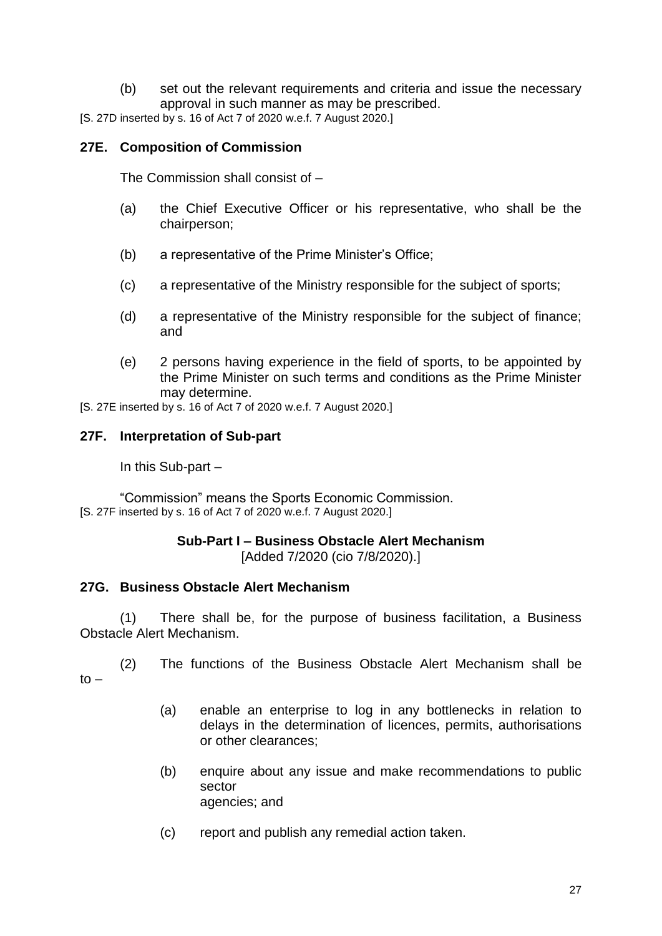(b) set out the relevant requirements and criteria and issue the necessary approval in such manner as may be prescribed.

[S. 27D inserted by s. 16 of Act 7 of 2020 w.e.f. 7 August 2020.]

#### **27E. Composition of Commission**

The Commission shall consist of –

- (a) the Chief Executive Officer or his representative, who shall be the chairperson;
- (b) a representative of the Prime Minister's Office;
- (c) a representative of the Ministry responsible for the subject of sports;
- (d) a representative of the Ministry responsible for the subject of finance; and
- (e) 2 persons having experience in the field of sports, to be appointed by the Prime Minister on such terms and conditions as the Prime Minister may determine.

[S. 27E inserted by s. 16 of Act 7 of 2020 w.e.f. 7 August 2020.]

#### **27F. Interpretation of Sub-part**

In this Sub-part –

"Commission" means the Sports Economic Commission. [S. 27F inserted by s. 16 of Act 7 of 2020 w.e.f. 7 August 2020.]

# **Sub-Part I – Business Obstacle Alert Mechanism**

[Added 7/2020 (cio 7/8/2020).]

#### **27G. Business Obstacle Alert Mechanism**

(1) There shall be, for the purpose of business facilitation, a Business Obstacle Alert Mechanism.

(2) The functions of the Business Obstacle Alert Mechanism shall be  $t_0$  –

- (a) enable an enterprise to log in any bottlenecks in relation to delays in the determination of licences, permits, authorisations or other clearances;
- (b) enquire about any issue and make recommendations to public sector agencies; and
- (c) report and publish any remedial action taken.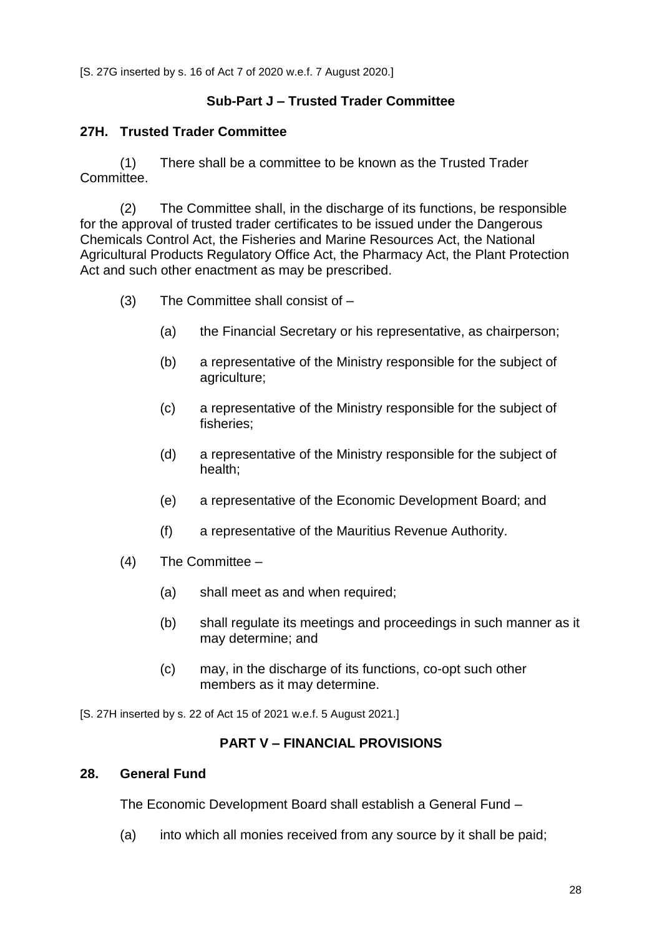[S. 27G inserted by s. 16 of Act 7 of 2020 w.e.f. 7 August 2020.]

## **Sub-Part J – Trusted Trader Committee**

#### **27H. Trusted Trader Committee**

(1) There shall be a committee to be known as the Trusted Trader Committee.

(2) The Committee shall, in the discharge of its functions, be responsible for the approval of trusted trader certificates to be issued under the Dangerous Chemicals Control Act, the Fisheries and Marine Resources Act, the National Agricultural Products Regulatory Office Act, the Pharmacy Act, the Plant Protection Act and such other enactment as may be prescribed.

- (3) The Committee shall consist of
	- (a) the Financial Secretary or his representative, as chairperson;
	- (b) a representative of the Ministry responsible for the subject of agriculture;
	- (c) a representative of the Ministry responsible for the subject of fisheries;
	- (d) a representative of the Ministry responsible for the subject of health;
	- (e) a representative of the Economic Development Board; and
	- (f) a representative of the Mauritius Revenue Authority.
- (4) The Committee
	- (a) shall meet as and when required;
	- (b) shall regulate its meetings and proceedings in such manner as it may determine; and
	- (c) may, in the discharge of its functions, co-opt such other members as it may determine.

[S. 27H inserted by s. 22 of Act 15 of 2021 w.e.f. 5 August 2021.]

## **PART V – FINANCIAL PROVISIONS**

#### **28. General Fund**

The Economic Development Board shall establish a General Fund –

(a) into which all monies received from any source by it shall be paid;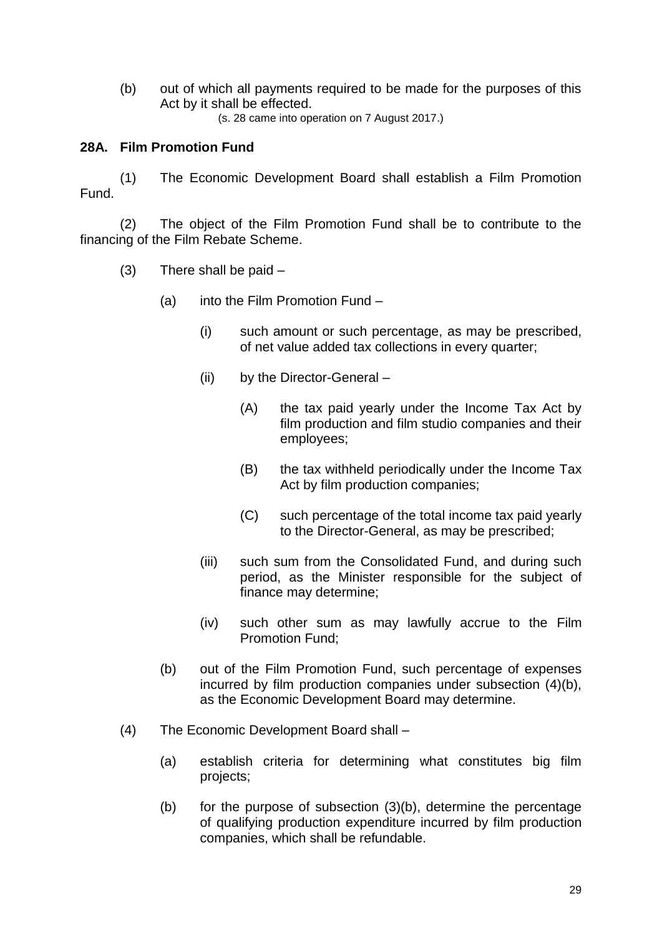(b) out of which all payments required to be made for the purposes of this Act by it shall be effected.

(s. 28 came into operation on 7 August 2017.)

## **28A. Film Promotion Fund**

(1) The Economic Development Board shall establish a Film Promotion Fund.

(2) The object of the Film Promotion Fund shall be to contribute to the financing of the Film Rebate Scheme.

- $(3)$  There shall be paid  $-$ 
	- (a) into the Film Promotion Fund
		- (i) such amount or such percentage, as may be prescribed, of net value added tax collections in every quarter;
		- (ii) by the Director-General
			- (A) the tax paid yearly under the Income Tax Act by film production and film studio companies and their employees;
			- (B) the tax withheld periodically under the Income Tax Act by film production companies;
			- (C) such percentage of the total income tax paid yearly to the Director-General, as may be prescribed;
		- (iii) such sum from the Consolidated Fund, and during such period, as the Minister responsible for the subject of finance may determine;
		- (iv) such other sum as may lawfully accrue to the Film Promotion Fund;
	- (b) out of the Film Promotion Fund, such percentage of expenses incurred by film production companies under subsection (4)(b), as the Economic Development Board may determine.
- (4) The Economic Development Board shall
	- (a) establish criteria for determining what constitutes big film projects;
	- (b) for the purpose of subsection (3)(b), determine the percentage of qualifying production expenditure incurred by film production companies, which shall be refundable.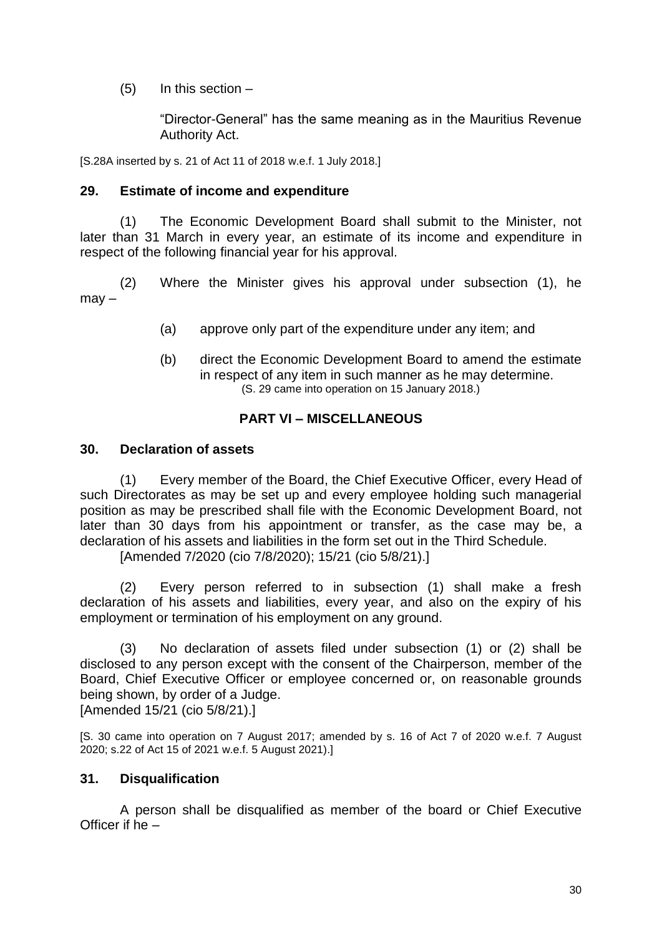$(5)$  In this section  $-$ 

"Director-General" has the same meaning as in the Mauritius Revenue Authority Act.

[S.28A inserted by s. 21 of Act 11 of 2018 w.e.f. 1 July 2018.]

#### **29. Estimate of income and expenditure**

(1) The Economic Development Board shall submit to the Minister, not later than 31 March in every year, an estimate of its income and expenditure in respect of the following financial year for his approval.

(2) Where the Minister gives his approval under subsection (1), he may –

- (a) approve only part of the expenditure under any item; and
- (b) direct the Economic Development Board to amend the estimate in respect of any item in such manner as he may determine. (S. 29 came into operation on 15 January 2018.)

#### **PART VI – MISCELLANEOUS**

#### **30. Declaration of assets**

(1) Every member of the Board, the Chief Executive Officer, every Head of such Directorates as may be set up and every employee holding such managerial position as may be prescribed shall file with the Economic Development Board, not later than 30 days from his appointment or transfer, as the case may be, a declaration of his assets and liabilities in the form set out in the Third Schedule.

[Amended 7/2020 (cio 7/8/2020); 15/21 (cio 5/8/21).]

(2) Every person referred to in subsection (1) shall make a fresh declaration of his assets and liabilities, every year, and also on the expiry of his employment or termination of his employment on any ground.

(3) No declaration of assets filed under subsection (1) or (2) shall be disclosed to any person except with the consent of the Chairperson, member of the Board, Chief Executive Officer or employee concerned or, on reasonable grounds being shown, by order of a Judge.

[Amended 15/21 (cio 5/8/21).]

[S. 30 came into operation on 7 August 2017; amended by s. 16 of Act 7 of 2020 w.e.f. 7 August 2020; s.22 of Act 15 of 2021 w.e.f. 5 August 2021).]

#### **31. Disqualification**

A person shall be disqualified as member of the board or Chief Executive Officer if he –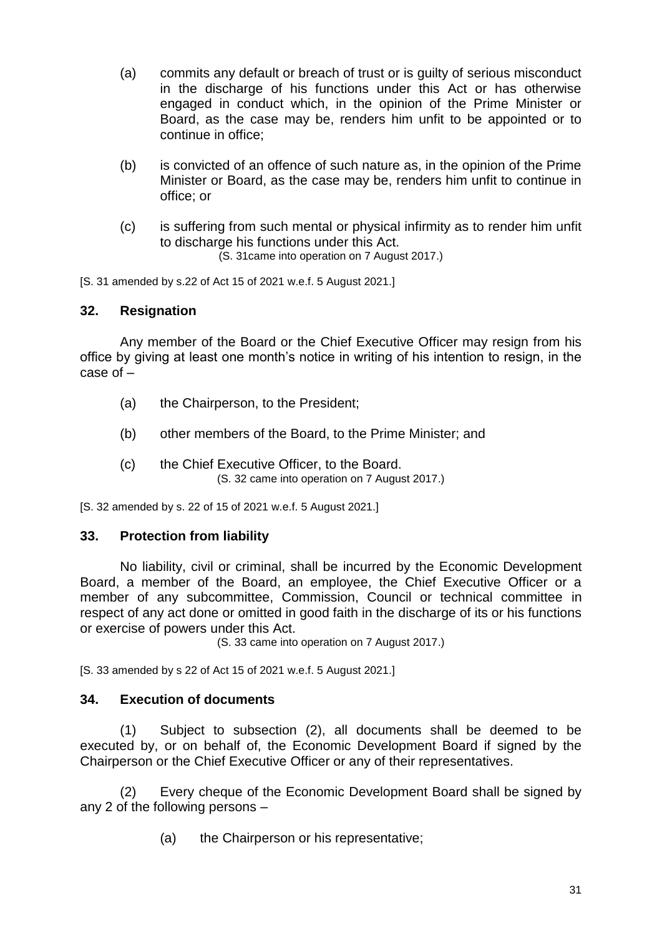- (a) commits any default or breach of trust or is guilty of serious misconduct in the discharge of his functions under this Act or has otherwise engaged in conduct which, in the opinion of the Prime Minister or Board, as the case may be, renders him unfit to be appointed or to continue in office;
- (b) is convicted of an offence of such nature as, in the opinion of the Prime Minister or Board, as the case may be, renders him unfit to continue in office; or
- (c) is suffering from such mental or physical infirmity as to render him unfit to discharge his functions under this Act. (S. 31came into operation on 7 August 2017.)

[S. 31 amended by s.22 of Act 15 of 2021 w.e.f. 5 August 2021.]

#### **32. Resignation**

Any member of the Board or the Chief Executive Officer may resign from his office by giving at least one month's notice in writing of his intention to resign, in the case of –

- (a) the Chairperson, to the President;
- (b) other members of the Board, to the Prime Minister; and
- (c) the Chief Executive Officer, to the Board. (S. 32 came into operation on 7 August 2017.)

[S. 32 amended by s. 22 of 15 of 2021 w.e.f. 5 August 2021.]

#### **33. Protection from liability**

No liability, civil or criminal, shall be incurred by the Economic Development Board, a member of the Board, an employee, the Chief Executive Officer or a member of any subcommittee, Commission, Council or technical committee in respect of any act done or omitted in good faith in the discharge of its or his functions or exercise of powers under this Act.

(S. 33 came into operation on 7 August 2017.)

[S. 33 amended by s 22 of Act 15 of 2021 w.e.f. 5 August 2021.]

#### **34. Execution of documents**

(1) Subject to subsection (2), all documents shall be deemed to be executed by, or on behalf of, the Economic Development Board if signed by the Chairperson or the Chief Executive Officer or any of their representatives.

(2) Every cheque of the Economic Development Board shall be signed by any 2 of the following persons –

(a) the Chairperson or his representative;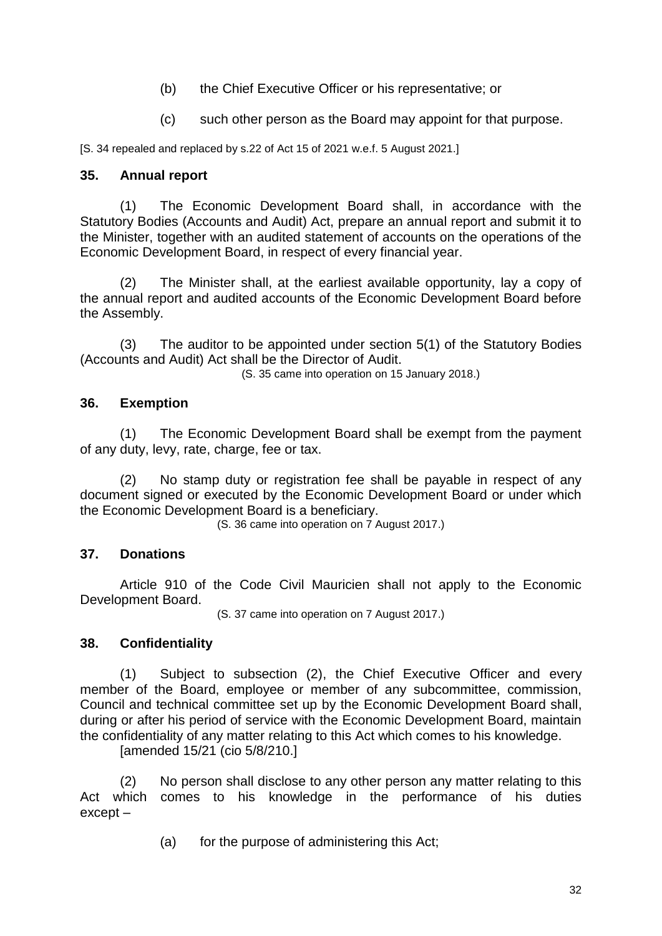- (b) the Chief Executive Officer or his representative; or
- (c) such other person as the Board may appoint for that purpose.

[S. 34 repealed and replaced by s.22 of Act 15 of 2021 w.e.f. 5 August 2021.]

#### **35. Annual report**

(1) The Economic Development Board shall, in accordance with the Statutory Bodies (Accounts and Audit) Act, prepare an annual report and submit it to the Minister, together with an audited statement of accounts on the operations of the Economic Development Board, in respect of every financial year.

(2) The Minister shall, at the earliest available opportunity, lay a copy of the annual report and audited accounts of the Economic Development Board before the Assembly.

(3) The auditor to be appointed under section 5(1) of the Statutory Bodies (Accounts and Audit) Act shall be the Director of Audit.

(S. 35 came into operation on 15 January 2018.)

#### **36. Exemption**

(1) The Economic Development Board shall be exempt from the payment of any duty, levy, rate, charge, fee or tax.

(2) No stamp duty or registration fee shall be payable in respect of any document signed or executed by the Economic Development Board or under which the Economic Development Board is a beneficiary.

(S. 36 came into operation on 7 August 2017.)

## **37. Donations**

Article 910 of the Code Civil Mauricien shall not apply to the Economic Development Board.

(S. 37 came into operation on 7 August 2017.)

#### **38. Confidentiality**

(1) Subject to subsection (2), the Chief Executive Officer and every member of the Board, employee or member of any subcommittee, commission, Council and technical committee set up by the Economic Development Board shall, during or after his period of service with the Economic Development Board, maintain the confidentiality of any matter relating to this Act which comes to his knowledge. [amended 15/21 (cio 5/8/210.]

(2) No person shall disclose to any other person any matter relating to this Act which comes to his knowledge in the performance of his duties except –

(a) for the purpose of administering this Act;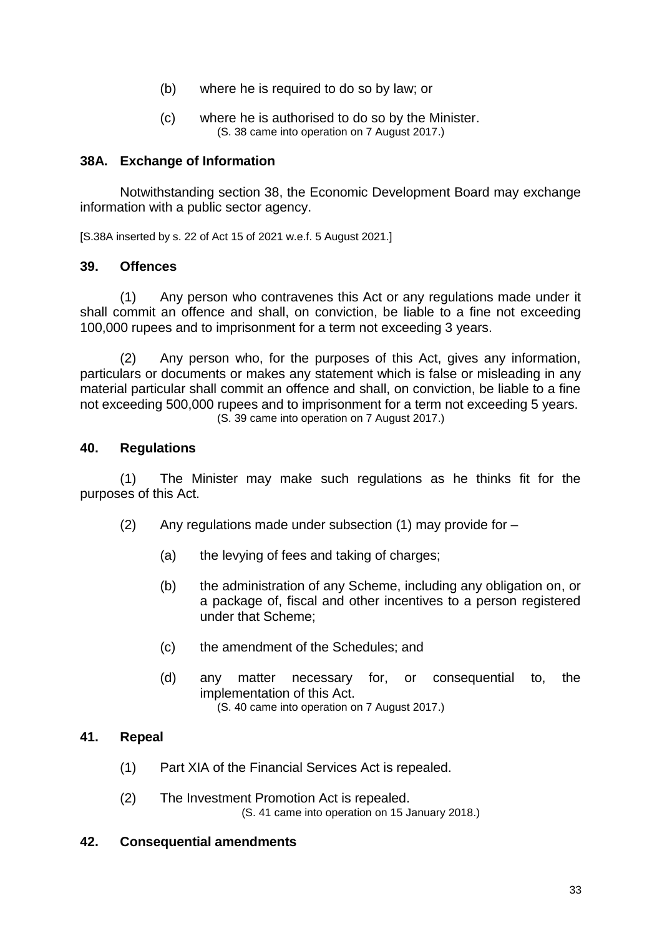- (b) where he is required to do so by law; or
- (c) where he is authorised to do so by the Minister. (S. 38 came into operation on 7 August 2017.)

#### **38A. Exchange of Information**

Notwithstanding section 38, the Economic Development Board may exchange information with a public sector agency.

[S.38A inserted by s. 22 of Act 15 of 2021 w.e.f. 5 August 2021.]

#### **39. Offences**

(1) Any person who contravenes this Act or any regulations made under it shall commit an offence and shall, on conviction, be liable to a fine not exceeding 100,000 rupees and to imprisonment for a term not exceeding 3 years.

(2) Any person who, for the purposes of this Act, gives any information, particulars or documents or makes any statement which is false or misleading in any material particular shall commit an offence and shall, on conviction, be liable to a fine not exceeding 500,000 rupees and to imprisonment for a term not exceeding 5 years. (S. 39 came into operation on 7 August 2017.)

#### **40. Regulations**

(1) The Minister may make such regulations as he thinks fit for the purposes of this Act.

- (2) Any regulations made under subsection  $(1)$  may provide for  $-$ 
	- (a) the levying of fees and taking of charges;
	- (b) the administration of any Scheme, including any obligation on, or a package of, fiscal and other incentives to a person registered under that Scheme;
	- (c) the amendment of the Schedules; and
	- (d) any matter necessary for, or consequential to, the implementation of this Act. (S. 40 came into operation on 7 August 2017.)

#### **41. Repeal**

- (1) Part XIA of the Financial Services Act is repealed.
- (2) The Investment Promotion Act is repealed. (S. 41 came into operation on 15 January 2018.)

#### **42. Consequential amendments**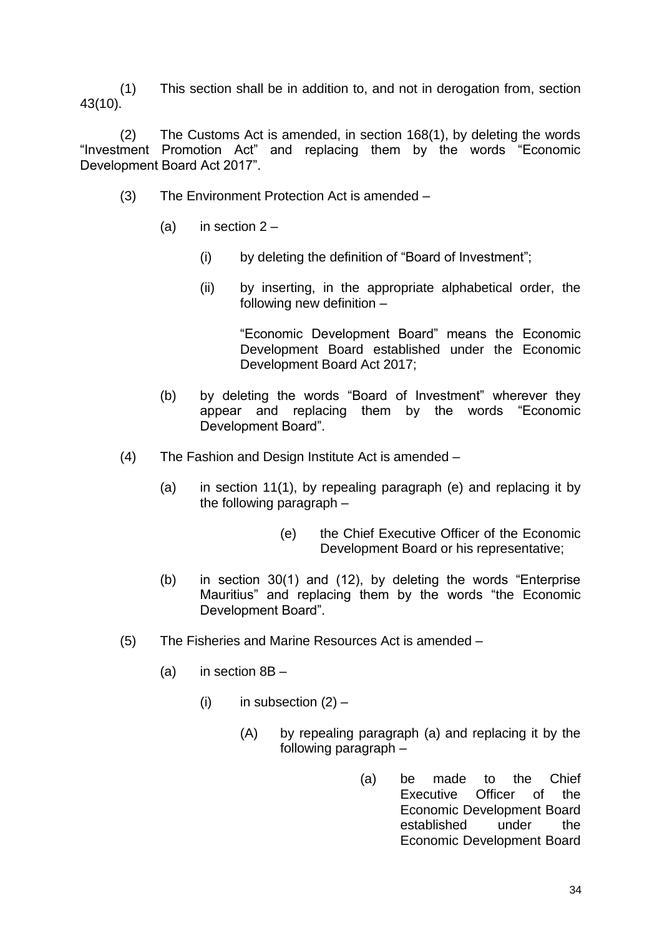(1) This section shall be in addition to, and not in derogation from, section 43(10).

(2) The Customs Act is amended, in section 168(1), by deleting the words "Investment Promotion Act" and replacing them by the words "Economic Development Board Act 2017".

- (3) The Environment Protection Act is amended
	- (a) in section  $2 -$ 
		- (i) by deleting the definition of "Board of Investment";
		- (ii) by inserting, in the appropriate alphabetical order, the following new definition –

- (b) by deleting the words "Board of Investment" wherever they appear and replacing them by the words "Economic Development Board".
- (4) The Fashion and Design Institute Act is amended
	- (a) in section 11(1), by repealing paragraph (e) and replacing it by the following paragraph –
		- (e) the Chief Executive Officer of the Economic Development Board or his representative;
	- (b) in section 30(1) and (12), by deleting the words "Enterprise Mauritius" and replacing them by the words "the Economic Development Board".
- (5) The Fisheries and Marine Resources Act is amended
	- (a) in section  $8B -$ 
		- (i) in subsection  $(2)$ 
			- (A) by repealing paragraph (a) and replacing it by the following paragraph –
				- (a) be made to the Chief Executive Officer of the Economic Development Board established under the Economic Development Board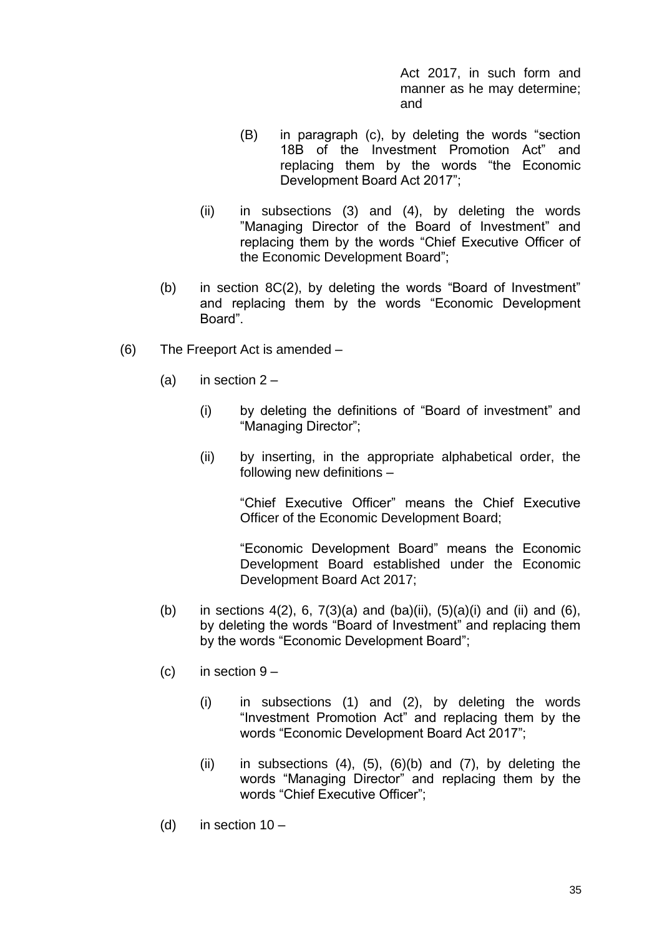Act 2017, in such form and manner as he may determine; and

- (B) in paragraph (c), by deleting the words "section 18B of the Investment Promotion Act" and replacing them by the words "the Economic Development Board Act 2017";
- (ii) in subsections (3) and (4), by deleting the words "Managing Director of the Board of Investment" and replacing them by the words "Chief Executive Officer of the Economic Development Board";
- (b) in section 8C(2), by deleting the words "Board of Investment" and replacing them by the words "Economic Development Board".
- (6) The Freeport Act is amended
	- (a) in section  $2 -$ 
		- (i) by deleting the definitions of "Board of investment" and "Managing Director";
		- (ii) by inserting, in the appropriate alphabetical order, the following new definitions –

"Chief Executive Officer" means the Chief Executive Officer of the Economic Development Board;

- (b) in sections  $4(2)$ , 6,  $7(3)(a)$  and  $(ba)(ii)$ ,  $(5)(a)(i)$  and  $(ii)$  and  $(6)$ , by deleting the words "Board of Investment" and replacing them by the words "Economic Development Board";
- (c) in section  $9 -$ 
	- (i) in subsections (1) and (2), by deleting the words "Investment Promotion Act" and replacing them by the words "Economic Development Board Act 2017";
	- (ii) in subsections  $(4)$ ,  $(5)$ ,  $(6)(b)$  and  $(7)$ , by deleting the words "Managing Director" and replacing them by the words "Chief Executive Officer";
- (d) in section  $10 -$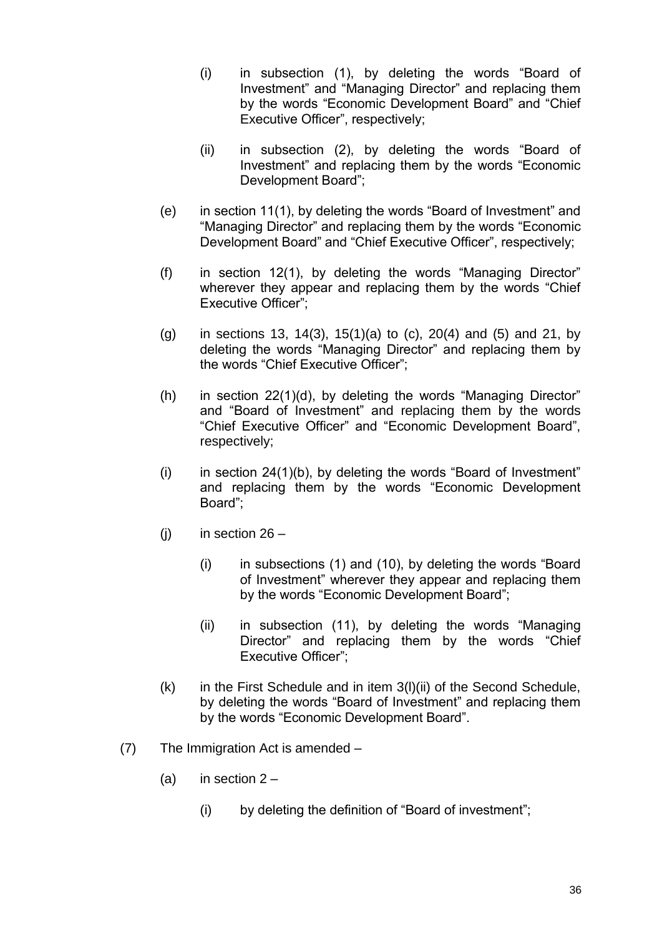- (i) in subsection (1), by deleting the words "Board of Investment" and "Managing Director" and replacing them by the words "Economic Development Board" and "Chief Executive Officer", respectively;
- (ii) in subsection (2), by deleting the words "Board of Investment" and replacing them by the words "Economic Development Board";
- (e) in section 11(1), by deleting the words "Board of Investment" and "Managing Director" and replacing them by the words "Economic Development Board" and "Chief Executive Officer", respectively;
- (f) in section 12(1), by deleting the words "Managing Director" wherever they appear and replacing them by the words "Chief Executive Officer";
- (g) in sections 13, 14(3), 15(1)(a) to (c), 20(4) and (5) and 21, by deleting the words "Managing Director" and replacing them by the words "Chief Executive Officer";
- (h) in section 22(1)(d), by deleting the words "Managing Director" and "Board of Investment" and replacing them by the words "Chief Executive Officer" and "Economic Development Board", respectively;
- (i) in section  $24(1)(b)$ , by deleting the words "Board of Investment" and replacing them by the words "Economic Development Board";
- (i) in section  $26 -$ 
	- (i) in subsections (1) and (10), by deleting the words "Board of Investment" wherever they appear and replacing them by the words "Economic Development Board";
	- (ii) in subsection (11), by deleting the words "Managing Director" and replacing them by the words "Chief Executive Officer";
- $(k)$  in the First Schedule and in item  $3(l)(ii)$  of the Second Schedule, by deleting the words "Board of Investment" and replacing them by the words "Economic Development Board".
- (7) The Immigration Act is amended
	- (a) in section  $2 -$ 
		- (i) by deleting the definition of "Board of investment";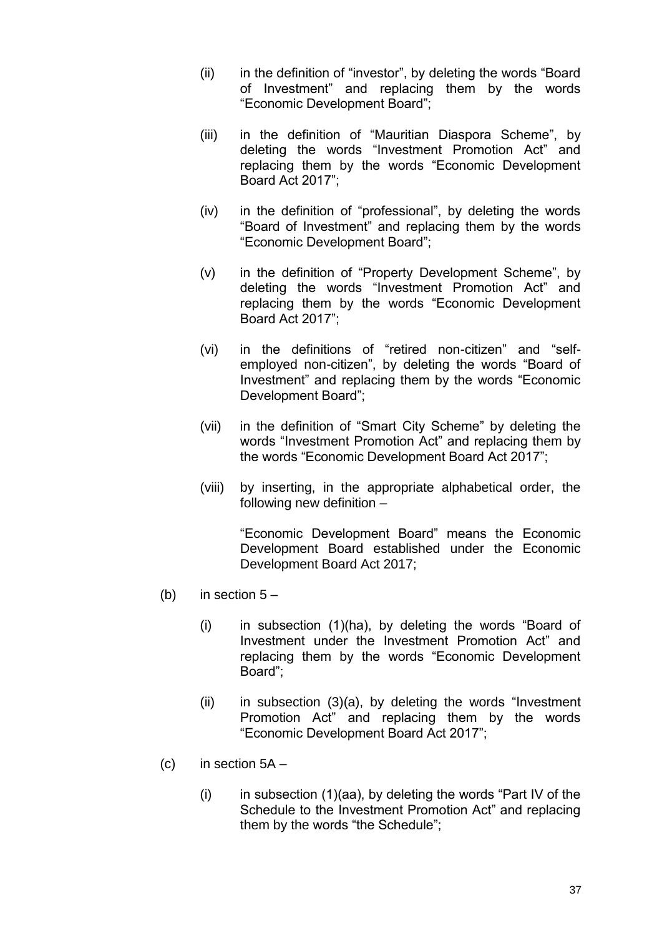- (ii) in the definition of "investor", by deleting the words "Board of Investment" and replacing them by the words "Economic Development Board";
- (iii) in the definition of "Mauritian Diaspora Scheme", by deleting the words "Investment Promotion Act" and replacing them by the words "Economic Development Board Act 2017";
- (iv) in the definition of "professional", by deleting the words "Board of Investment" and replacing them by the words "Economic Development Board";
- (v) in the definition of "Property Development Scheme", by deleting the words "Investment Promotion Act" and replacing them by the words "Economic Development Board Act 2017";
- (vi) in the definitions of "retired non-citizen" and "selfemployed non-citizen", by deleting the words "Board of Investment" and replacing them by the words "Economic Development Board";
- (vii) in the definition of "Smart City Scheme" by deleting the words "Investment Promotion Act" and replacing them by the words "Economic Development Board Act 2017";
- (viii) by inserting, in the appropriate alphabetical order, the following new definition –

- (b) in section  $5 -$ 
	- (i) in subsection (1)(ha), by deleting the words "Board of Investment under the Investment Promotion Act" and replacing them by the words "Economic Development Board";
	- $(ii)$  in subsection  $(3)(a)$ , by deleting the words "Investment" Promotion Act" and replacing them by the words "Economic Development Board Act 2017";
- $(c)$  in section  $5A -$ 
	- $(i)$  in subsection  $(1)(aa)$ , by deleting the words "Part IV of the Schedule to the Investment Promotion Act" and replacing them by the words "the Schedule";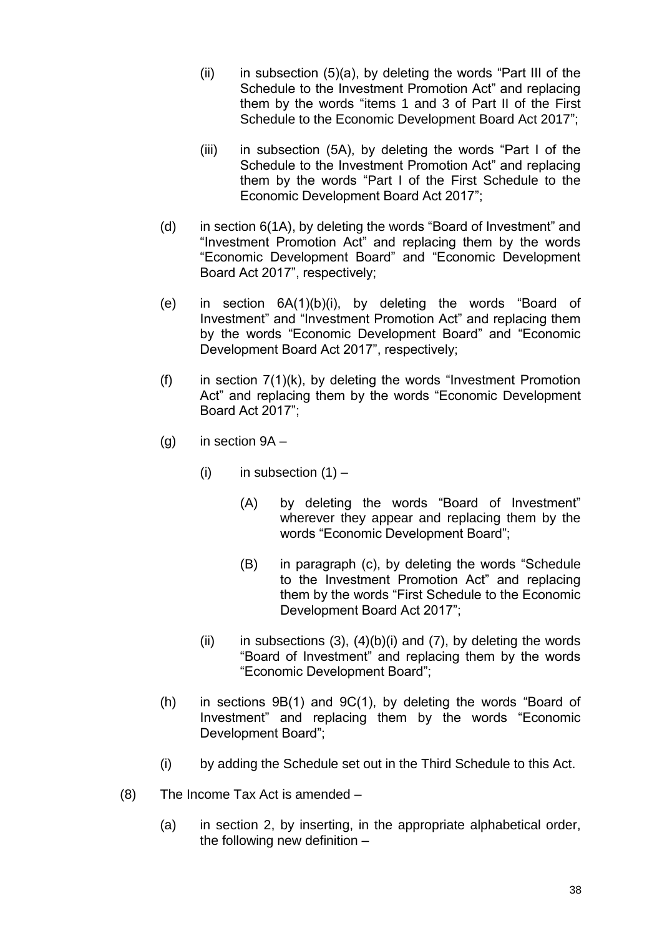- $(ii)$  in subsection  $(5)(a)$ , by deleting the words "Part III of the Schedule to the Investment Promotion Act" and replacing them by the words "items 1 and 3 of Part II of the First Schedule to the Economic Development Board Act 2017";
- (iii) in subsection (5A), by deleting the words "Part I of the Schedule to the Investment Promotion Act" and replacing them by the words "Part I of the First Schedule to the Economic Development Board Act 2017";
- (d) in section 6(1A), by deleting the words "Board of Investment" and "Investment Promotion Act" and replacing them by the words "Economic Development Board" and "Economic Development Board Act 2017", respectively;
- (e) in section 6A(1)(b)(i), by deleting the words "Board of Investment" and "Investment Promotion Act" and replacing them by the words "Economic Development Board" and "Economic Development Board Act 2017", respectively;
- (f) in section  $7(1)(k)$ , by deleting the words "Investment Promotion Act" and replacing them by the words "Economic Development Board Act 2017";
- (g) in section  $9A -$ 
	- (i) in subsection  $(1)$ 
		- (A) by deleting the words "Board of Investment" wherever they appear and replacing them by the words "Economic Development Board";
		- (B) in paragraph (c), by deleting the words "Schedule to the Investment Promotion Act" and replacing them by the words "First Schedule to the Economic Development Board Act 2017";
	- (ii) in subsections  $(3)$ ,  $(4)(b)(i)$  and  $(7)$ , by deleting the words "Board of Investment" and replacing them by the words "Economic Development Board";
- (h) in sections 9B(1) and 9C(1), by deleting the words "Board of Investment" and replacing them by the words "Economic Development Board";
- (i) by adding the Schedule set out in the Third Schedule to this Act.
- (8) The Income Tax Act is amended
	- (a) in section 2, by inserting, in the appropriate alphabetical order, the following new definition –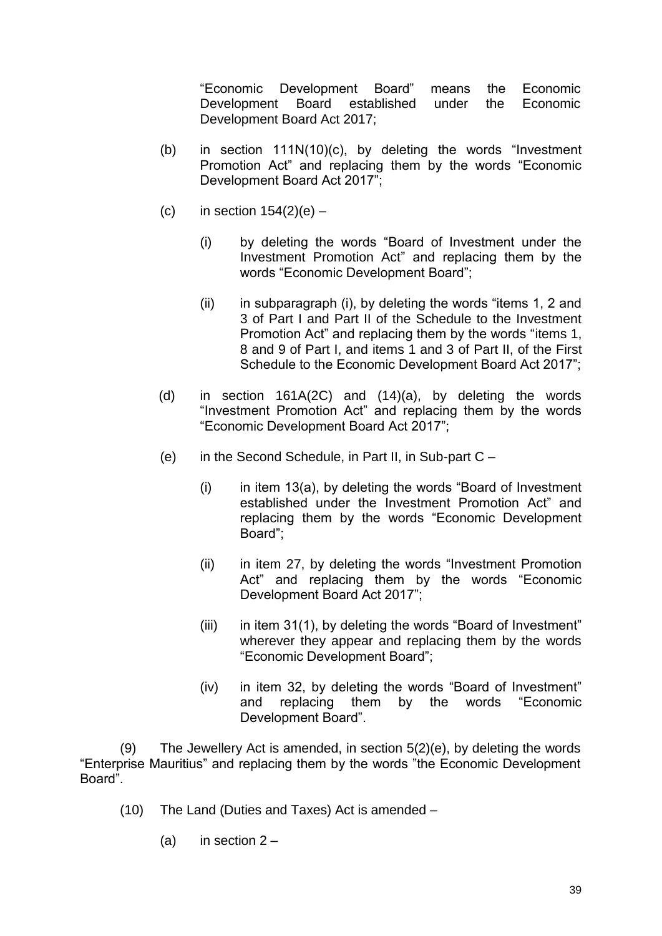"Economic Development Board" means the Economic Development Board established under the Economic Development Board Act 2017;

- (b) in section 111N(10)(c), by deleting the words "Investment Promotion Act" and replacing them by the words "Economic Development Board Act 2017";
- (c) in section  $154(2)(e)$ 
	- (i) by deleting the words "Board of Investment under the Investment Promotion Act" and replacing them by the words "Economic Development Board";
	- (ii) in subparagraph (i), by deleting the words "items 1, 2 and 3 of Part I and Part II of the Schedule to the Investment Promotion Act" and replacing them by the words "items 1, 8 and 9 of Part I, and items 1 and 3 of Part II, of the First Schedule to the Economic Development Board Act 2017";
- (d) in section 161A(2C) and (14)(a), by deleting the words "Investment Promotion Act" and replacing them by the words "Economic Development Board Act 2017";
- (e) in the Second Schedule, in Part II, in Sub-part C
	- $(i)$  in item 13(a), by deleting the words "Board of Investment established under the Investment Promotion Act" and replacing them by the words "Economic Development Board";
	- (ii) in item 27, by deleting the words "Investment Promotion Act" and replacing them by the words "Economic Development Board Act 2017";
	- (iii) in item 31(1), by deleting the words "Board of Investment" wherever they appear and replacing them by the words "Economic Development Board";
	- (iv) in item 32, by deleting the words "Board of Investment" and replacing them by the words "Economic Development Board".

(9) The Jewellery Act is amended, in section 5(2)(e), by deleting the words "Enterprise Mauritius" and replacing them by the words "the Economic Development Board".

- (10) The Land (Duties and Taxes) Act is amended
	- (a) in section  $2 -$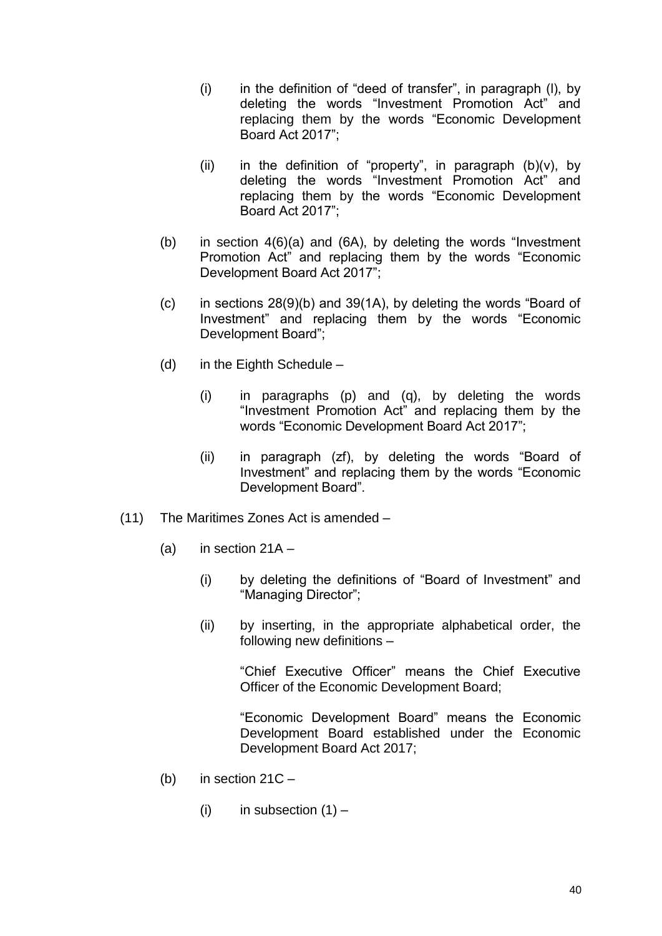- (i) in the definition of "deed of transfer", in paragraph (l), by deleting the words "Investment Promotion Act" and replacing them by the words "Economic Development Board Act 2017";
- (ii) in the definition of "property", in paragraph  $(b)(v)$ , by deleting the words "Investment Promotion Act" and replacing them by the words "Economic Development Board Act 2017";
- (b) in section 4(6)(a) and (6A), by deleting the words "Investment Promotion Act" and replacing them by the words "Economic Development Board Act 2017";
- (c) in sections 28(9)(b) and 39(1A), by deleting the words "Board of Investment" and replacing them by the words "Economic Development Board";
- (d) in the Eighth Schedule  $-$ 
	- (i) in paragraphs (p) and (q), by deleting the words "Investment Promotion Act" and replacing them by the words "Economic Development Board Act 2017";
	- (ii) in paragraph (zf), by deleting the words "Board of Investment" and replacing them by the words "Economic Development Board".
- (11) The Maritimes Zones Act is amended
	- (a) in section  $21A -$ 
		- (i) by deleting the definitions of "Board of Investment" and "Managing Director";
		- (ii) by inserting, in the appropriate alphabetical order, the following new definitions –

"Chief Executive Officer" means the Chief Executive Officer of the Economic Development Board;

- (b) in section  $21C -$ 
	- (i) in subsection  $(1)$  –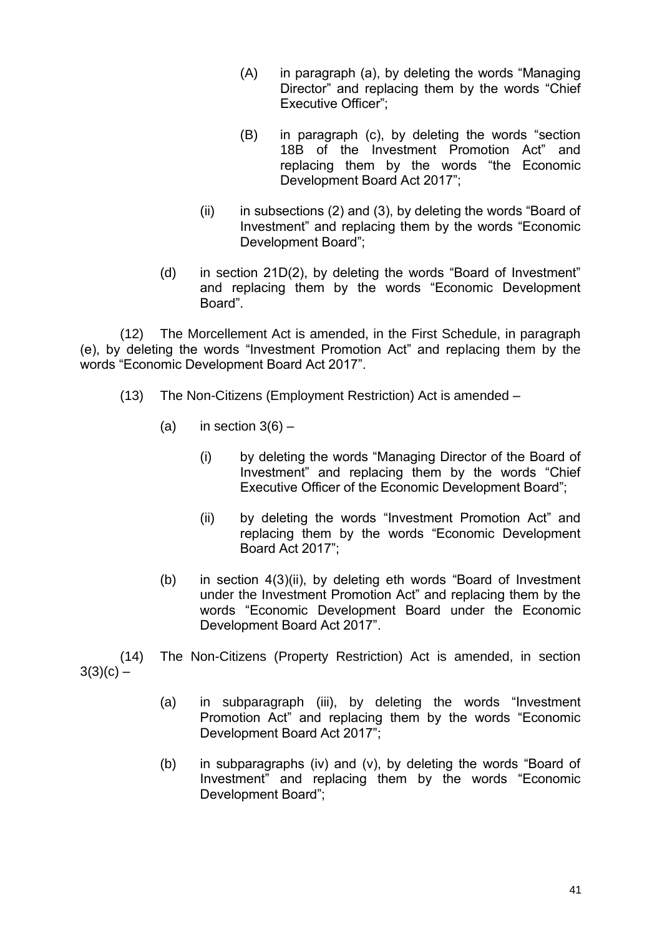- (A) in paragraph (a), by deleting the words "Managing Director" and replacing them by the words "Chief Executive Officer";
- (B) in paragraph (c), by deleting the words "section 18B of the Investment Promotion Act" and replacing them by the words "the Economic Development Board Act 2017";
- (ii) in subsections (2) and (3), by deleting the words "Board of Investment" and replacing them by the words "Economic Development Board";
- (d) in section 21D(2), by deleting the words "Board of Investment" and replacing them by the words "Economic Development Board".

(12) The Morcellement Act is amended, in the First Schedule, in paragraph (e), by deleting the words "Investment Promotion Act" and replacing them by the words "Economic Development Board Act 2017".

- (13) The Non-Citizens (Employment Restriction) Act is amended
	- (a) in section  $3(6)$ 
		- (i) by deleting the words "Managing Director of the Board of Investment" and replacing them by the words "Chief Executive Officer of the Economic Development Board";
		- (ii) by deleting the words "Investment Promotion Act" and replacing them by the words "Economic Development Board Act 2017";
	- (b) in section 4(3)(ii), by deleting eth words "Board of Investment under the Investment Promotion Act" and replacing them by the words "Economic Development Board under the Economic Development Board Act 2017".

(14) The Non-Citizens (Property Restriction) Act is amended, in section  $3(3)(c) -$ 

- (a) in subparagraph (iii), by deleting the words "Investment Promotion Act" and replacing them by the words "Economic Development Board Act 2017";
- (b) in subparagraphs (iv) and (v), by deleting the words "Board of Investment" and replacing them by the words "Economic Development Board";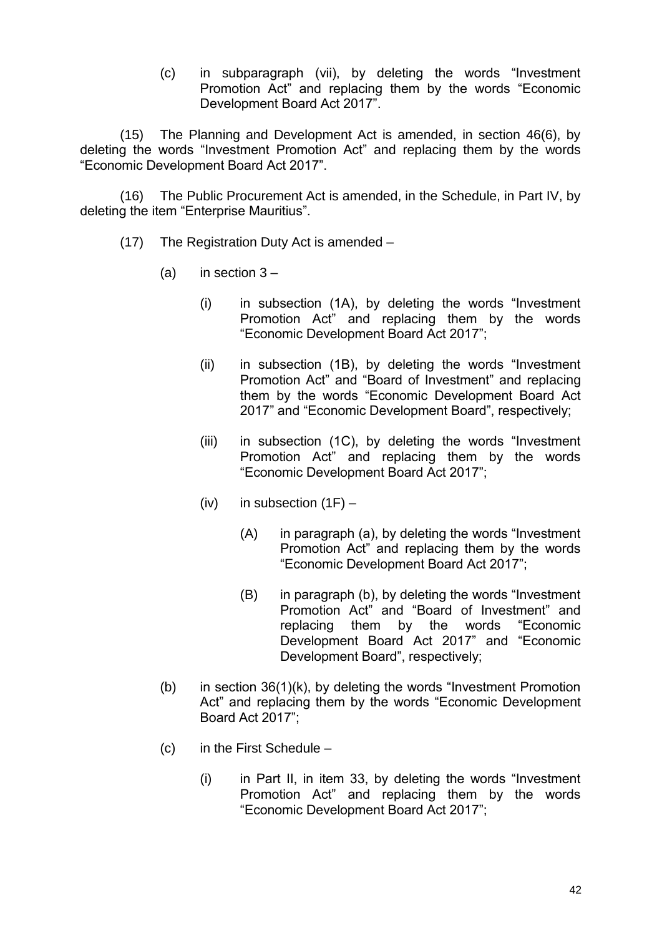(c) in subparagraph (vii), by deleting the words "Investment Promotion Act" and replacing them by the words "Economic Development Board Act 2017".

(15) The Planning and Development Act is amended, in section 46(6), by deleting the words "Investment Promotion Act" and replacing them by the words "Economic Development Board Act 2017".

(16) The Public Procurement Act is amended, in the Schedule, in Part IV, by deleting the item "Enterprise Mauritius".

- (17) The Registration Duty Act is amended
	- (a) in section  $3 -$ 
		- (i) in subsection (1A), by deleting the words "Investment Promotion Act" and replacing them by the words "Economic Development Board Act 2017";
		- (ii) in subsection (1B), by deleting the words "Investment Promotion Act" and "Board of Investment" and replacing them by the words "Economic Development Board Act 2017" and "Economic Development Board", respectively;
		- (iii) in subsection (1C), by deleting the words "Investment Promotion Act" and replacing them by the words "Economic Development Board Act 2017";
		- (iv) in subsection  $(1F)$ 
			- (A) in paragraph (a), by deleting the words "Investment Promotion Act" and replacing them by the words "Economic Development Board Act 2017";
			- (B) in paragraph (b), by deleting the words "Investment Promotion Act" and "Board of Investment" and replacing them by the words "Economic Development Board Act 2017" and "Economic Development Board", respectively;
	- (b) in section 36(1)(k), by deleting the words "Investment Promotion Act" and replacing them by the words "Economic Development Board Act 2017";
	- (c) in the First Schedule
		- (i) in Part II, in item 33, by deleting the words "Investment Promotion Act" and replacing them by the words "Economic Development Board Act 2017";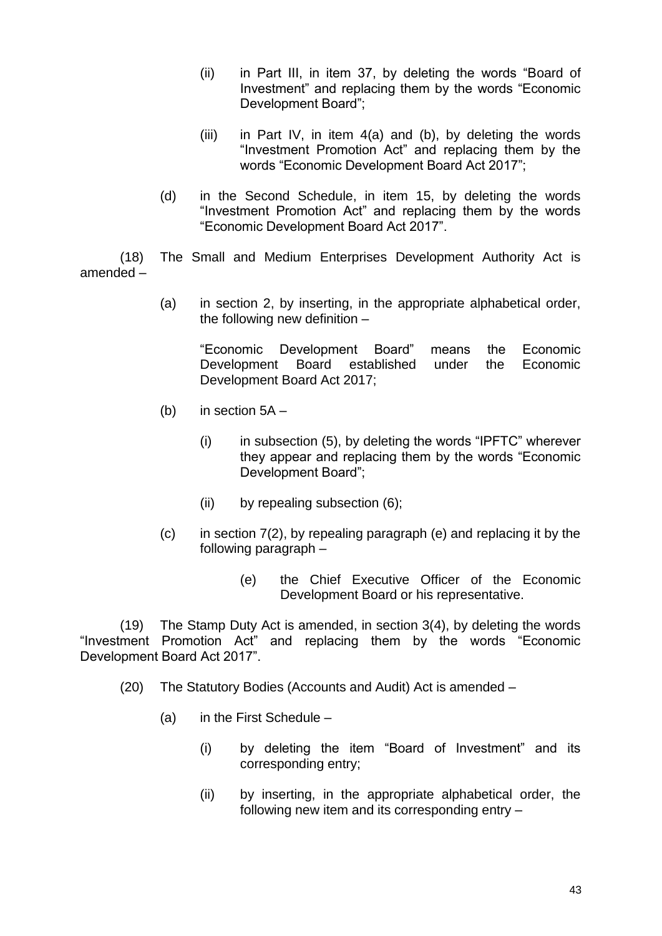- (ii) in Part III, in item 37, by deleting the words "Board of Investment" and replacing them by the words "Economic Development Board";
- (iii) in Part IV, in item 4(a) and (b), by deleting the words "Investment Promotion Act" and replacing them by the words "Economic Development Board Act 2017";
- (d) in the Second Schedule, in item 15, by deleting the words "Investment Promotion Act" and replacing them by the words "Economic Development Board Act 2017".

(18) The Small and Medium Enterprises Development Authority Act is amended –

> (a) in section 2, by inserting, in the appropriate alphabetical order, the following new definition –

"Economic Development Board" means the Economic Development Board established under the Economic Development Board Act 2017;

- (b) in section 5A
	- $(i)$  in subsection  $(5)$ , by deleting the words "IPFTC" wherever they appear and replacing them by the words "Economic Development Board";
	- (ii) by repealing subsection (6);
- $(c)$  in section  $7(2)$ , by repealing paragraph  $(e)$  and replacing it by the following paragraph –
	- (e) the Chief Executive Officer of the Economic Development Board or his representative.

(19) The Stamp Duty Act is amended, in section 3(4), by deleting the words "Investment Promotion Act" and replacing them by the words "Economic Development Board Act 2017".

- (20) The Statutory Bodies (Accounts and Audit) Act is amended
	- (a) in the First Schedule
		- (i) by deleting the item "Board of Investment" and its corresponding entry;
		- (ii) by inserting, in the appropriate alphabetical order, the following new item and its corresponding entry –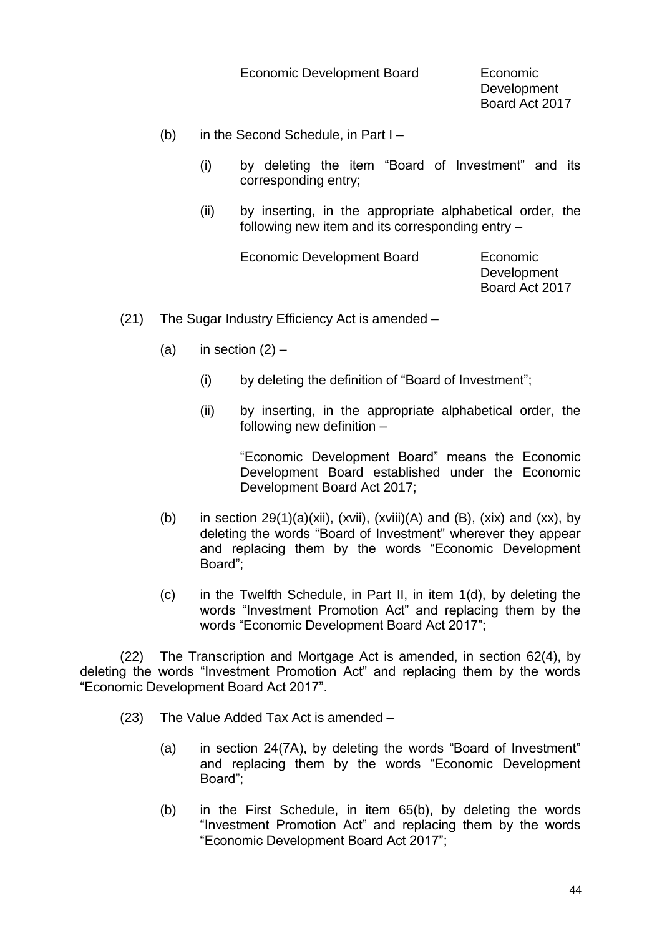Economic Development Board Economic

Development Board Act 2017

- (b) in the Second Schedule, in Part I
	- (i) by deleting the item "Board of Investment" and its corresponding entry;
	- (ii) by inserting, in the appropriate alphabetical order, the following new item and its corresponding entry –

Economic Development Board Economic

Development Board Act 2017

- (21) The Sugar Industry Efficiency Act is amended
	- (a) in section  $(2)$ 
		- (i) by deleting the definition of "Board of Investment";
		- (ii) by inserting, in the appropriate alphabetical order, the following new definition –

"Economic Development Board" means the Economic Development Board established under the Economic Development Board Act 2017;

- (b) in section  $29(1)(a)(xii)$ , (xvii), (xviii)(A) and (B), (xix) and (xx), by deleting the words "Board of Investment" wherever they appear and replacing them by the words "Economic Development Board";
- (c) in the Twelfth Schedule, in Part II, in item 1(d), by deleting the words "Investment Promotion Act" and replacing them by the words "Economic Development Board Act 2017";

(22) The Transcription and Mortgage Act is amended, in section 62(4), by deleting the words "Investment Promotion Act" and replacing them by the words "Economic Development Board Act 2017".

- (23) The Value Added Tax Act is amended
	- (a) in section 24(7A), by deleting the words "Board of Investment" and replacing them by the words "Economic Development Board";
	- (b) in the First Schedule, in item 65(b), by deleting the words "Investment Promotion Act" and replacing them by the words "Economic Development Board Act 2017";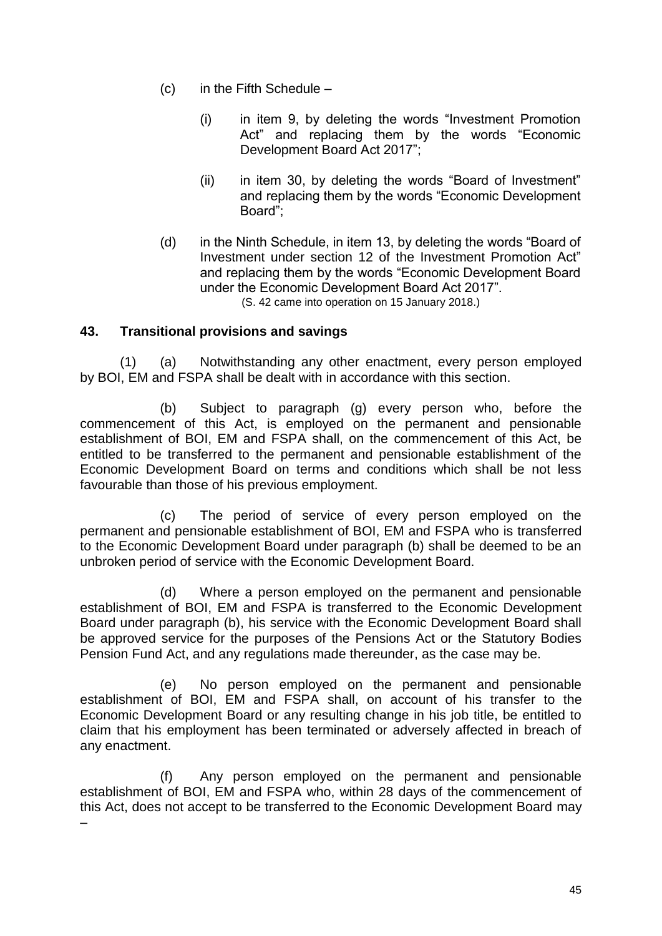- $(c)$  in the Fifth Schedule
	- (i) in item 9, by deleting the words "Investment Promotion Act" and replacing them by the words "Economic Development Board Act 2017";
	- (ii) in item 30, by deleting the words "Board of Investment" and replacing them by the words "Economic Development Board";
- (d) in the Ninth Schedule, in item 13, by deleting the words "Board of Investment under section 12 of the Investment Promotion Act" and replacing them by the words "Economic Development Board under the Economic Development Board Act 2017". (S. 42 came into operation on 15 January 2018.)

#### **43. Transitional provisions and savings**

(1) (a) Notwithstanding any other enactment, every person employed by BOI, EM and FSPA shall be dealt with in accordance with this section.

(b) Subject to paragraph (g) every person who, before the commencement of this Act, is employed on the permanent and pensionable establishment of BOI, EM and FSPA shall, on the commencement of this Act, be entitled to be transferred to the permanent and pensionable establishment of the Economic Development Board on terms and conditions which shall be not less favourable than those of his previous employment.

(c) The period of service of every person employed on the permanent and pensionable establishment of BOI, EM and FSPA who is transferred to the Economic Development Board under paragraph (b) shall be deemed to be an unbroken period of service with the Economic Development Board.

(d) Where a person employed on the permanent and pensionable establishment of BOI, EM and FSPA is transferred to the Economic Development Board under paragraph (b), his service with the Economic Development Board shall be approved service for the purposes of the Pensions Act or the Statutory Bodies Pension Fund Act, and any regulations made thereunder, as the case may be.

(e) No person employed on the permanent and pensionable establishment of BOI, EM and FSPA shall, on account of his transfer to the Economic Development Board or any resulting change in his job title, be entitled to claim that his employment has been terminated or adversely affected in breach of any enactment.

(f) Any person employed on the permanent and pensionable establishment of BOI, EM and FSPA who, within 28 days of the commencement of this Act, does not accept to be transferred to the Economic Development Board may –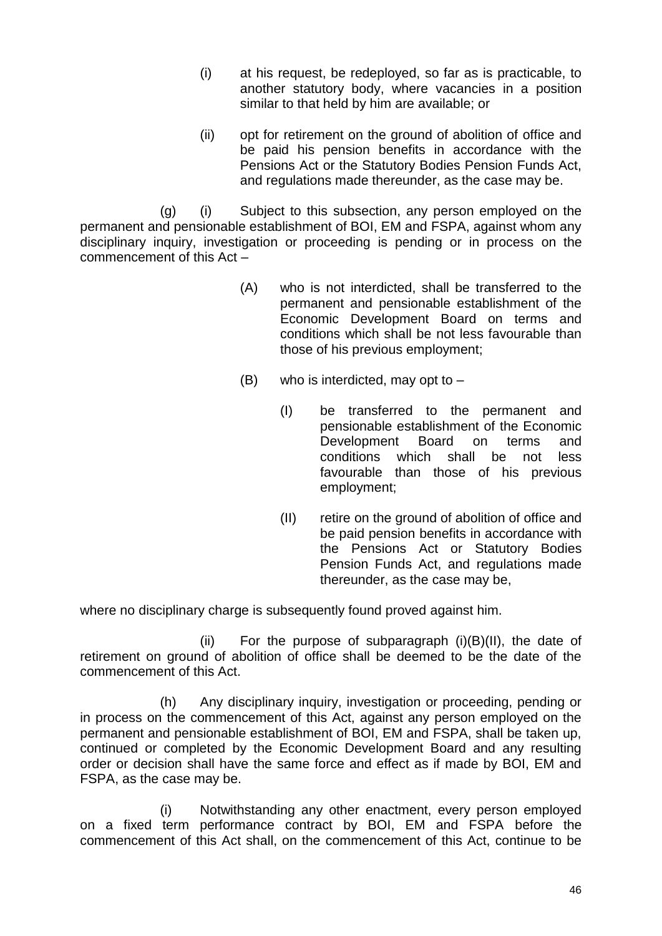- (i) at his request, be redeployed, so far as is practicable, to another statutory body, where vacancies in a position similar to that held by him are available; or
- (ii) opt for retirement on the ground of abolition of office and be paid his pension benefits in accordance with the Pensions Act or the Statutory Bodies Pension Funds Act, and regulations made thereunder, as the case may be.

(g) (i) Subject to this subsection, any person employed on the permanent and pensionable establishment of BOI, EM and FSPA, against whom any disciplinary inquiry, investigation or proceeding is pending or in process on the commencement of this Act –

- (A) who is not interdicted, shall be transferred to the permanent and pensionable establishment of the Economic Development Board on terms and conditions which shall be not less favourable than those of his previous employment;
- $(B)$  who is interdicted, may opt to  $-$ 
	- (I) be transferred to the permanent and pensionable establishment of the Economic Development Board on terms and conditions which shall be not less favourable than those of his previous employment;
	- (II) retire on the ground of abolition of office and be paid pension benefits in accordance with the Pensions Act or Statutory Bodies Pension Funds Act, and regulations made thereunder, as the case may be,

where no disciplinary charge is subsequently found proved against him.

(ii) For the purpose of subparagraph  $(i)(B)(II)$ , the date of retirement on ground of abolition of office shall be deemed to be the date of the commencement of this Act.

(h) Any disciplinary inquiry, investigation or proceeding, pending or in process on the commencement of this Act, against any person employed on the permanent and pensionable establishment of BOI, EM and FSPA, shall be taken up, continued or completed by the Economic Development Board and any resulting order or decision shall have the same force and effect as if made by BOI, EM and FSPA, as the case may be.

(i) Notwithstanding any other enactment, every person employed on a fixed term performance contract by BOI, EM and FSPA before the commencement of this Act shall, on the commencement of this Act, continue to be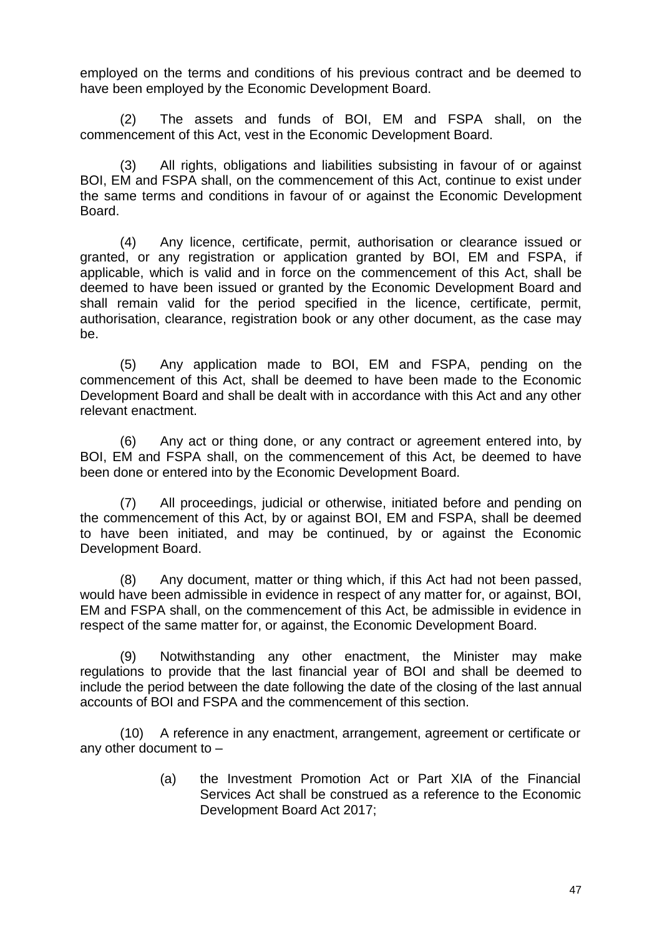employed on the terms and conditions of his previous contract and be deemed to have been employed by the Economic Development Board.

(2) The assets and funds of BOI, EM and FSPA shall, on the commencement of this Act, vest in the Economic Development Board.

(3) All rights, obligations and liabilities subsisting in favour of or against BOI, EM and FSPA shall, on the commencement of this Act, continue to exist under the same terms and conditions in favour of or against the Economic Development Board.

(4) Any licence, certificate, permit, authorisation or clearance issued or granted, or any registration or application granted by BOI, EM and FSPA, if applicable, which is valid and in force on the commencement of this Act, shall be deemed to have been issued or granted by the Economic Development Board and shall remain valid for the period specified in the licence, certificate, permit, authorisation, clearance, registration book or any other document, as the case may be.

(5) Any application made to BOI, EM and FSPA, pending on the commencement of this Act, shall be deemed to have been made to the Economic Development Board and shall be dealt with in accordance with this Act and any other relevant enactment.

(6) Any act or thing done, or any contract or agreement entered into, by BOI, EM and FSPA shall, on the commencement of this Act, be deemed to have been done or entered into by the Economic Development Board.

(7) All proceedings, judicial or otherwise, initiated before and pending on the commencement of this Act, by or against BOI, EM and FSPA, shall be deemed to have been initiated, and may be continued, by or against the Economic Development Board.

(8) Any document, matter or thing which, if this Act had not been passed, would have been admissible in evidence in respect of any matter for, or against, BOI, EM and FSPA shall, on the commencement of this Act, be admissible in evidence in respect of the same matter for, or against, the Economic Development Board.

(9) Notwithstanding any other enactment, the Minister may make regulations to provide that the last financial year of BOI and shall be deemed to include the period between the date following the date of the closing of the last annual accounts of BOI and FSPA and the commencement of this section.

(10) A reference in any enactment, arrangement, agreement or certificate or any other document to –

> (a) the Investment Promotion Act or Part XIA of the Financial Services Act shall be construed as a reference to the Economic Development Board Act 2017;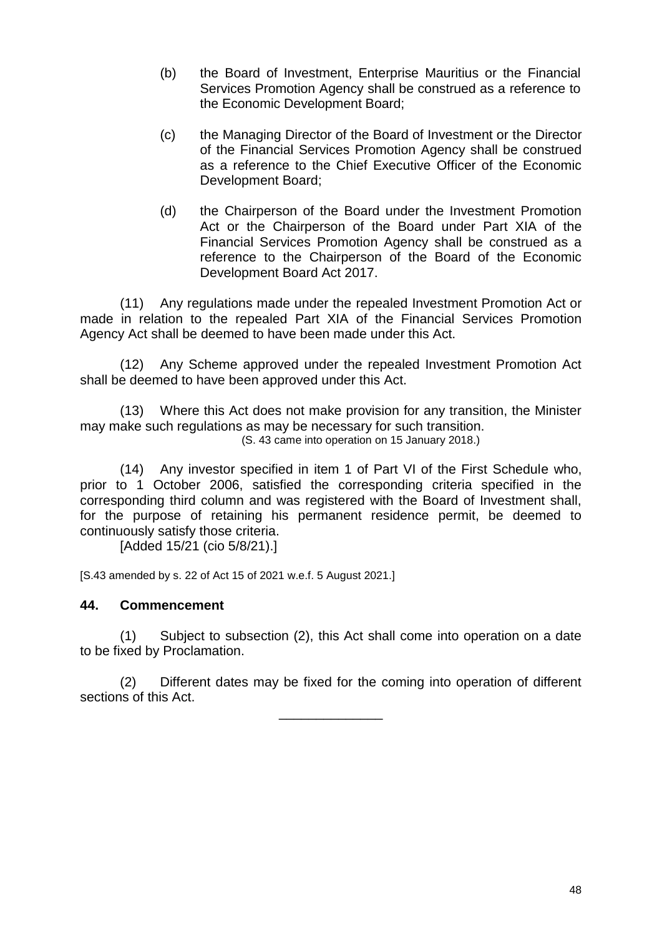- (b) the Board of Investment, Enterprise Mauritius or the Financial Services Promotion Agency shall be construed as a reference to the Economic Development Board;
- (c) the Managing Director of the Board of Investment or the Director of the Financial Services Promotion Agency shall be construed as a reference to the Chief Executive Officer of the Economic Development Board;
- (d) the Chairperson of the Board under the Investment Promotion Act or the Chairperson of the Board under Part XIA of the Financial Services Promotion Agency shall be construed as a reference to the Chairperson of the Board of the Economic Development Board Act 2017.

(11) Any regulations made under the repealed Investment Promotion Act or made in relation to the repealed Part XIA of the Financial Services Promotion Agency Act shall be deemed to have been made under this Act.

(12) Any Scheme approved under the repealed Investment Promotion Act shall be deemed to have been approved under this Act.

(13) Where this Act does not make provision for any transition, the Minister may make such regulations as may be necessary for such transition. (S. 43 came into operation on 15 January 2018.)

(14) Any investor specified in item 1 of Part VI of the First Schedule who, prior to 1 October 2006, satisfied the corresponding criteria specified in the corresponding third column and was registered with the Board of Investment shall, for the purpose of retaining his permanent residence permit, be deemed to continuously satisfy those criteria.

[Added 15/21 (cio 5/8/21).]

[S.43 amended by s. 22 of Act 15 of 2021 w.e.f. 5 August 2021.]

#### **44. Commencement**

(1) Subject to subsection (2), this Act shall come into operation on a date to be fixed by Proclamation.

(2) Different dates may be fixed for the coming into operation of different sections of this Act.

\_\_\_\_\_\_\_\_\_\_\_\_\_\_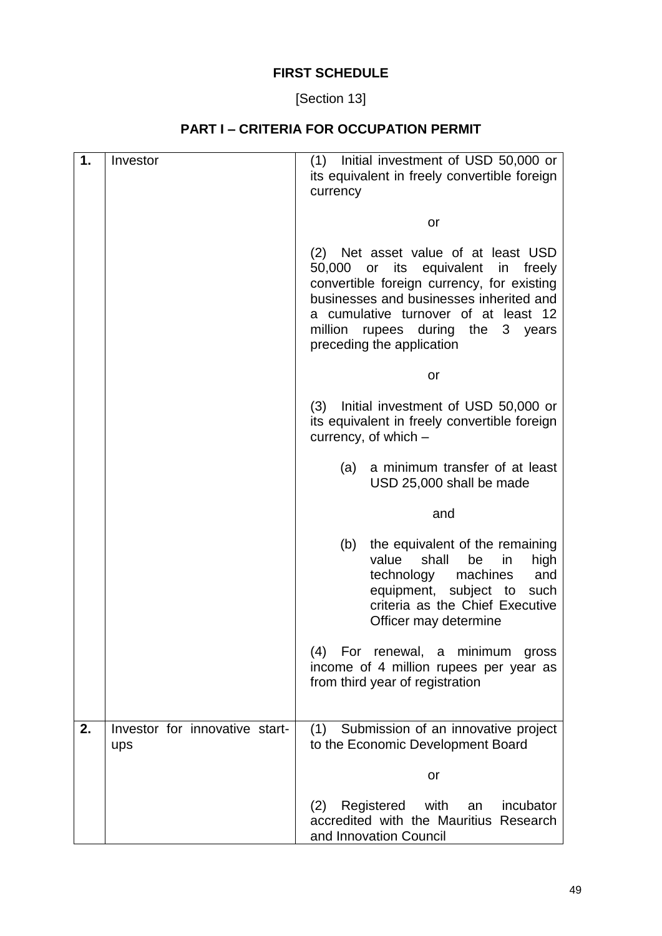# **FIRST SCHEDULE**

[Section 13]

# **PART I – CRITERIA FOR OCCUPATION PERMIT**

| 1. | Investor                              | (1) Initial investment of USD 50,000 or<br>its equivalent in freely convertible foreign<br>currency                                                                                                                                                                             |
|----|---------------------------------------|---------------------------------------------------------------------------------------------------------------------------------------------------------------------------------------------------------------------------------------------------------------------------------|
|    |                                       | or                                                                                                                                                                                                                                                                              |
|    |                                       | Net asset value of at least USD<br>(2)<br>50,000 or its equivalent in freely<br>convertible foreign currency, for existing<br>businesses and businesses inherited and<br>a cumulative turnover of at least 12<br>million rupees during the 3 years<br>preceding the application |
|    |                                       | or                                                                                                                                                                                                                                                                              |
|    |                                       | Initial investment of USD 50,000 or<br>(3)<br>its equivalent in freely convertible foreign<br>currency, of which -                                                                                                                                                              |
|    |                                       | a minimum transfer of at least<br>(a)<br>USD 25,000 shall be made                                                                                                                                                                                                               |
|    |                                       | and                                                                                                                                                                                                                                                                             |
|    |                                       | (b)<br>the equivalent of the remaining<br>value<br>shall<br>be<br>in<br>high                                                                                                                                                                                                    |
|    |                                       | technology machines<br>and<br>equipment, subject to<br>such<br>criteria as the Chief Executive<br>Officer may determine                                                                                                                                                         |
|    |                                       | (4) For renewal, a minimum gross<br>income of 4 million rupees per year as<br>from third year of registration                                                                                                                                                                   |
| 2. | Investor for innovative start-<br>ups | (1) Submission of an innovative project<br>to the Economic Development Board                                                                                                                                                                                                    |
|    |                                       | or                                                                                                                                                                                                                                                                              |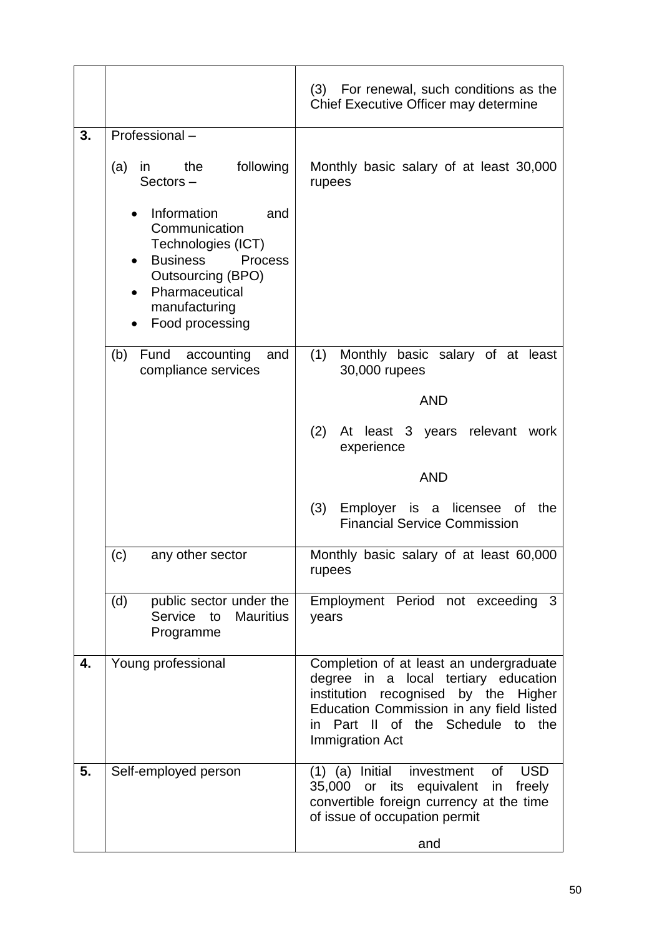|                                                                                                                                                                                                 | For renewal, such conditions as the<br>(3)<br>Chief Executive Officer may determine                                                                                                                                               |
|-------------------------------------------------------------------------------------------------------------------------------------------------------------------------------------------------|-----------------------------------------------------------------------------------------------------------------------------------------------------------------------------------------------------------------------------------|
| Professional-<br>following<br>the<br>(a)<br>in                                                                                                                                                  | Monthly basic salary of at least 30,000                                                                                                                                                                                           |
| $Sectors -$<br>Information<br>and<br>Communication<br>Technologies (ICT)<br><b>Business</b><br><b>Process</b><br><b>Outsourcing (BPO)</b><br>Pharmaceutical<br>manufacturing<br>Food processing | rupees                                                                                                                                                                                                                            |
| Fund accounting<br>(b)<br>and<br>compliance services                                                                                                                                            | (1)<br>Monthly basic salary of at least<br>30,000 rupees<br><b>AND</b>                                                                                                                                                            |
|                                                                                                                                                                                                 | (2)<br>At least 3 years relevant<br>work<br>experience                                                                                                                                                                            |
|                                                                                                                                                                                                 | (3)<br>Employer is a licensee of<br>the<br><b>Financial Service Commission</b>                                                                                                                                                    |
| (c)<br>any other sector                                                                                                                                                                         | Monthly basic salary of at least 60,000<br>rupees                                                                                                                                                                                 |
| (d)<br>public sector under the<br>Service to<br><b>Mauritius</b><br>Programme                                                                                                                   | Employment Period not exceeding 3<br>years                                                                                                                                                                                        |
| Young professional                                                                                                                                                                              | Completion of at least an undergraduate<br>degree in a local tertiary education<br>institution<br>recognised by the Higher<br>Education Commission in any field listed<br>Part II of the Schedule to the<br>in<br>Immigration Act |
| Self-employed person                                                                                                                                                                            | <b>USD</b><br>$(1)$ $(a)$ Initial<br>investment<br>0f                                                                                                                                                                             |
|                                                                                                                                                                                                 | <b>AND</b>                                                                                                                                                                                                                        |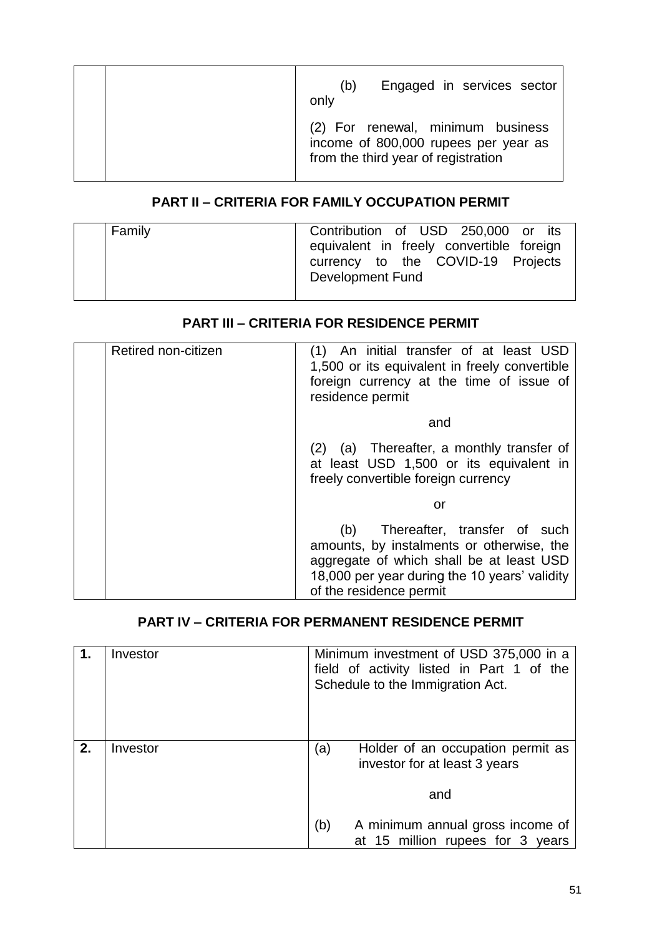| Engaged in services sector<br>(b)<br>only                                                                        |
|------------------------------------------------------------------------------------------------------------------|
| (2) For renewal, minimum business<br>income of 800,000 rupees per year as<br>from the third year of registration |

# **PART II – CRITERIA FOR FAMILY OCCUPATION PERMIT**

| Family | Contribution of USD 250,000 or its<br>equivalent in freely convertible foreign<br>currency to the COVID-19 Projects<br><b>Development Fund</b> |
|--------|------------------------------------------------------------------------------------------------------------------------------------------------|
|--------|------------------------------------------------------------------------------------------------------------------------------------------------|

# **PART III – CRITERIA FOR RESIDENCE PERMIT**

| Retired non-citizen | (1) An initial transfer of at least USD<br>1,500 or its equivalent in freely convertible<br>foreign currency at the time of issue of<br>residence permit                                              |
|---------------------|-------------------------------------------------------------------------------------------------------------------------------------------------------------------------------------------------------|
|                     | and                                                                                                                                                                                                   |
|                     | (2) (a) Thereafter, a monthly transfer of<br>at least USD 1,500 or its equivalent in<br>freely convertible foreign currency                                                                           |
|                     | or                                                                                                                                                                                                    |
|                     | (b) Thereafter, transfer of such<br>amounts, by instalments or otherwise, the<br>aggregate of which shall be at least USD<br>18,000 per year during the 10 years' validity<br>of the residence permit |

# **PART IV – CRITERIA FOR PERMANENT RESIDENCE PERMIT**

|    | Investor | Minimum investment of USD 375,000 in a<br>field of activity listed in Part 1 of the<br>Schedule to the Immigration Act. |
|----|----------|-------------------------------------------------------------------------------------------------------------------------|
| 2. | Investor | Holder of an occupation permit as<br>(a)<br>investor for at least 3 years<br>and                                        |
|    |          | A minimum annual gross income of<br>(b)<br>at 15 million rupees for 3 years                                             |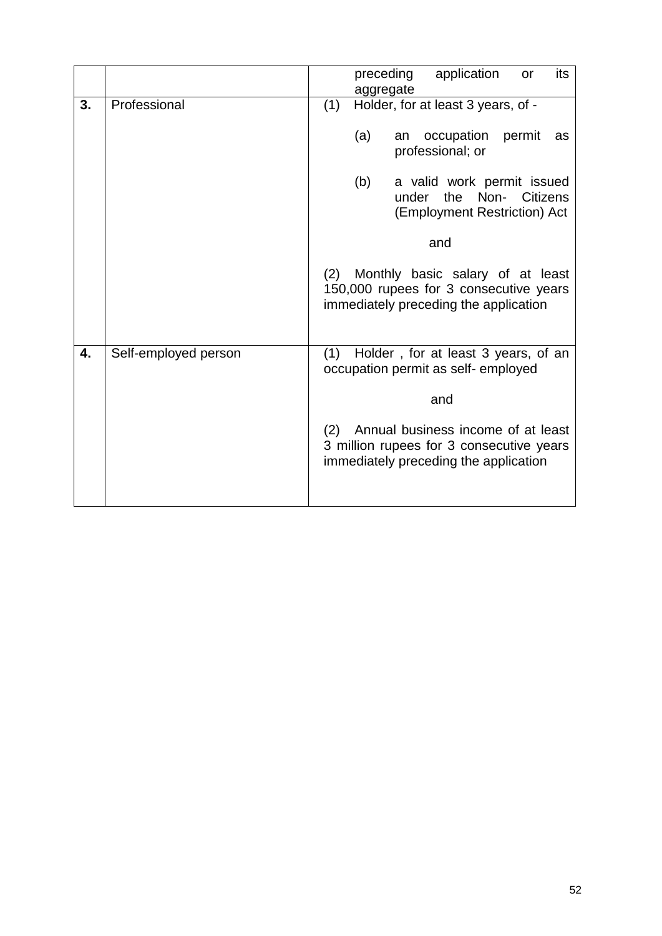|    |                      | application<br>preceding<br>its<br>or                                                                                          |
|----|----------------------|--------------------------------------------------------------------------------------------------------------------------------|
|    |                      | aggregate                                                                                                                      |
| 3. | Professional         | Holder, for at least 3 years, of -<br>(1)                                                                                      |
|    |                      | (a)<br>occupation<br>permit<br>an<br>as<br>professional; or                                                                    |
|    |                      | (b)<br>a valid work permit issued<br>under the Non- Citizens<br>(Employment Restriction) Act                                   |
|    |                      | and                                                                                                                            |
|    |                      | Monthly basic salary of at least<br>(2)<br>150,000 rupees for 3 consecutive years<br>immediately preceding the application     |
| 4. | Self-employed person | Holder, for at least 3 years, of an<br>(1)<br>occupation permit as self- employed                                              |
|    |                      | and                                                                                                                            |
|    |                      | Annual business income of at least<br>(2)<br>3 million rupees for 3 consecutive years<br>immediately preceding the application |
|    |                      |                                                                                                                                |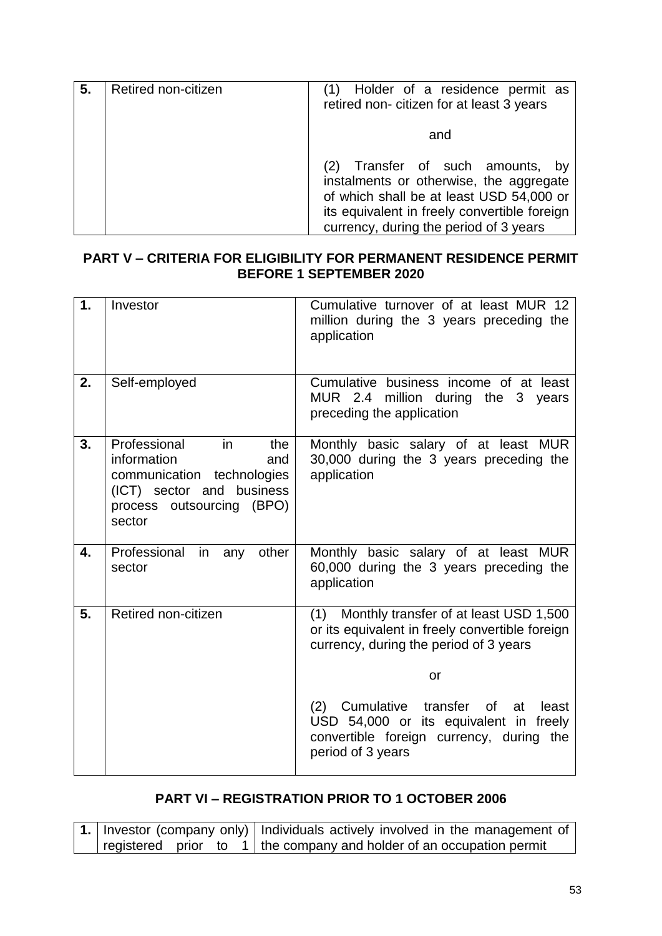| 5. | Retired non-citizen | Holder of a residence permit as<br>retired non-citizen for at least 3 years                                                                                                                                       |
|----|---------------------|-------------------------------------------------------------------------------------------------------------------------------------------------------------------------------------------------------------------|
|    |                     | and                                                                                                                                                                                                               |
|    |                     | (2) Transfer of such amounts, by<br>instalments or otherwise, the aggregate<br>of which shall be at least USD 54,000 or<br>its equivalent in freely convertible foreign<br>currency, during the period of 3 years |

#### **PART V – CRITERIA FOR ELIGIBILITY FOR PERMANENT RESIDENCE PERMIT BEFORE 1 SEPTEMBER 2020**

| 1. | Investor                                                                                                                                          | Cumulative turnover of at least MUR 12<br>million during the 3 years preceding the<br>application                                                                    |
|----|---------------------------------------------------------------------------------------------------------------------------------------------------|----------------------------------------------------------------------------------------------------------------------------------------------------------------------|
| 2. | Self-employed                                                                                                                                     | Cumulative business income of at least<br>MUR 2.4 million during the 3 years<br>preceding the application                                                            |
| 3. | Professional<br>in<br>the<br>information<br>and<br>communication technologies<br>(ICT) sector and business<br>process outsourcing (BPO)<br>sector | Monthly basic salary of at least MUR<br>30,000 during the 3 years preceding the<br>application                                                                       |
| 4. | Professional<br>other<br>in<br>any<br>sector                                                                                                      | Monthly basic salary of at least MUR<br>60,000 during the 3 years preceding the<br>application                                                                       |
| 5. | Retired non-citizen                                                                                                                               | (1) Monthly transfer of at least USD 1,500<br>or its equivalent in freely convertible foreign<br>currency, during the period of 3 years                              |
|    |                                                                                                                                                   | or                                                                                                                                                                   |
|    |                                                                                                                                                   | (2)<br>Cumulative<br>transfer<br><b>of</b><br>least<br>at<br>USD 54,000 or its equivalent in freely<br>convertible foreign currency, during the<br>period of 3 years |

# **PART VI – REGISTRATION PRIOR TO 1 OCTOBER 2006**

|  |  | 1.   Investor (company only)   Individuals actively involved in the management of |
|--|--|-----------------------------------------------------------------------------------|
|  |  | registered prior to 1   the company and holder of an occupation permit            |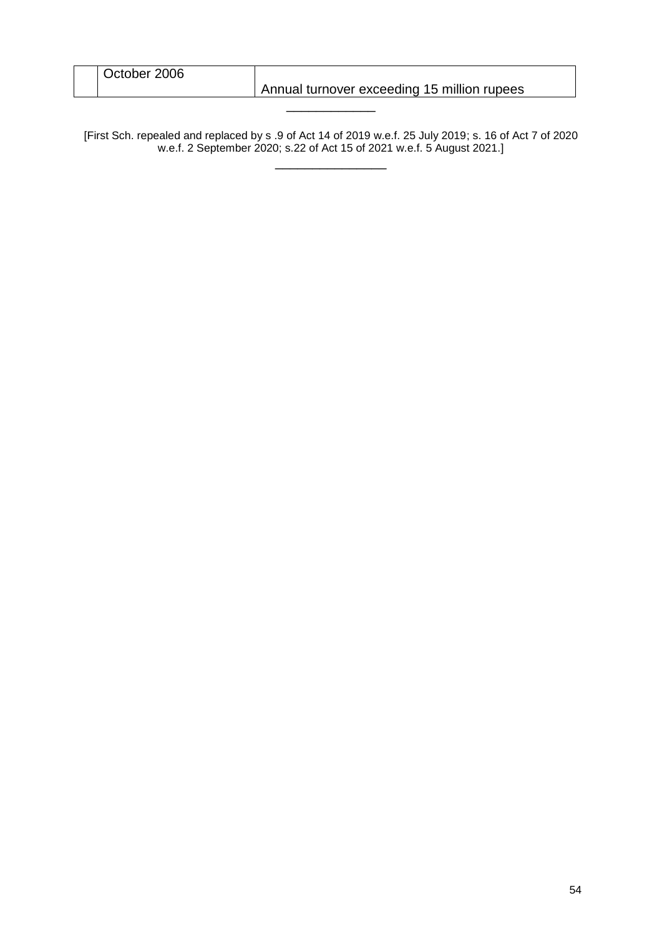| October 2006 |                                             |
|--------------|---------------------------------------------|
|              | Annual turnover exceeding 15 million rupees |
|              |                                             |

[First Sch. repealed and replaced by s .9 of Act 14 of 2019 w.e.f. 25 July 2019; s. 16 of Act 7 of 2020 w.e.f. 2 September 2020; s.22 of Act 15 of 2021 w.e.f. 5 August 2021.] \_\_\_\_\_\_\_\_\_\_\_\_\_\_\_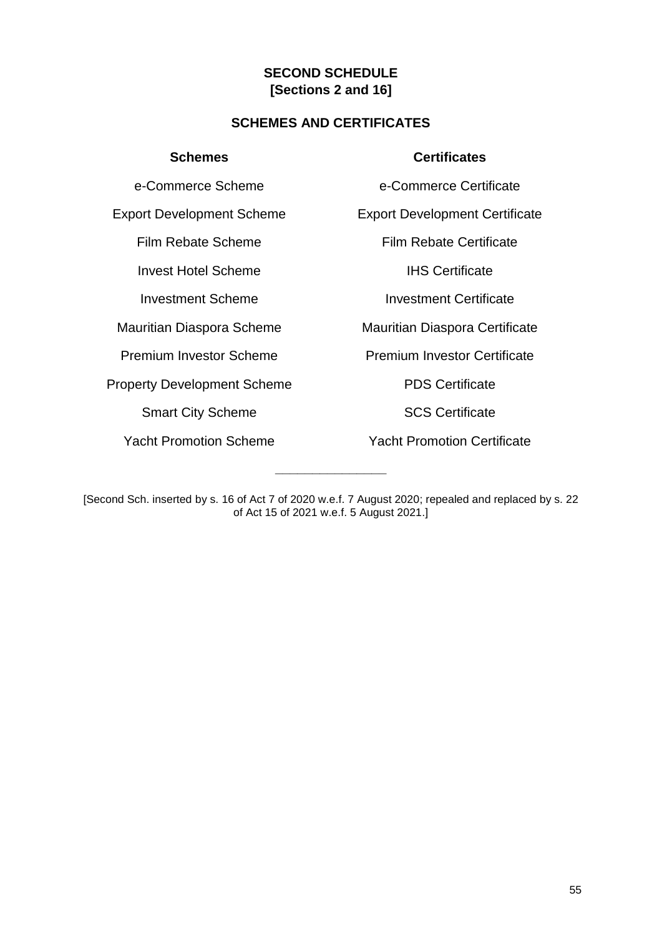## **SECOND SCHEDULE [Sections 2 and 16]**

#### **SCHEMES AND CERTIFICATES**

**Invest Hotel Scheme IHS Certificate** 

Property Development Scheme PDS Certificate

Smart City Scheme SCS Certificate

#### **Schemes Certificates**

e-Commerce Scheme e-Commerce Certificate

Export Development Scheme Export Development Certificate

Film Rebate Scheme Film Rebate Certificate

**Investment Scheme Investment Certificate** 

Mauritian Diaspora Scheme Mauritian Diaspora Certificate

Premium Investor Scheme Premium Investor Certificate

Yacht Promotion Scheme Yacht Promotion Certificate

**\_\_\_\_\_\_\_\_\_\_\_\_\_\_\_**

<sup>[</sup>Second Sch. inserted by s. 16 of Act 7 of 2020 w.e.f. 7 August 2020; repealed and replaced by s. 22 of Act 15 of 2021 w.e.f. 5 August 2021.]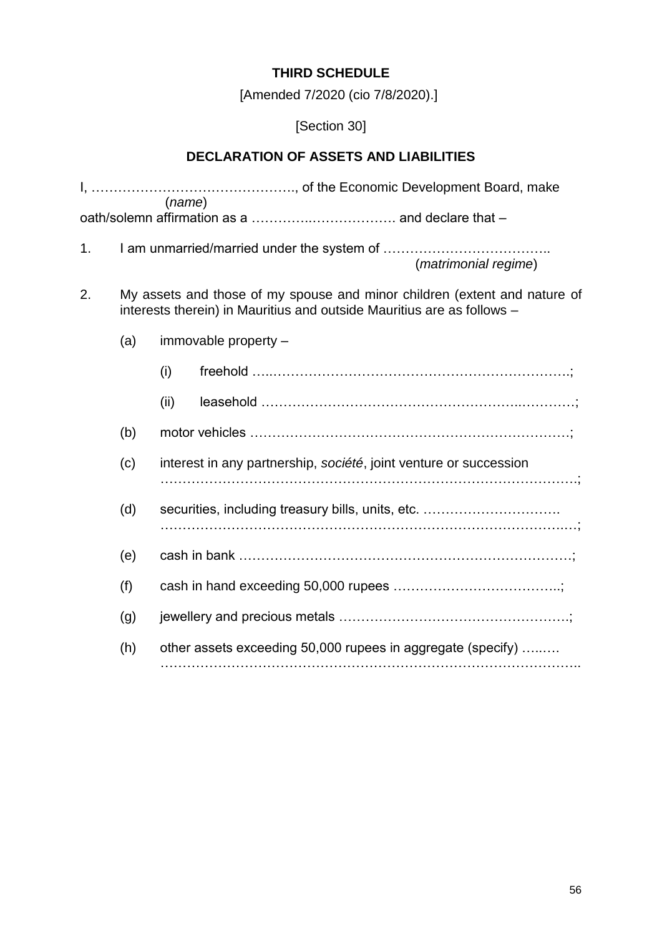# **THIRD SCHEDULE**

[Amended 7/2020 (cio 7/8/2020).]

# [Section 30]

# **DECLARATION OF ASSETS AND LIABILITIES**

|    |     | (name)                                                                                                                                              |  |  |
|----|-----|-----------------------------------------------------------------------------------------------------------------------------------------------------|--|--|
| 1. |     | (matrimonial regime)                                                                                                                                |  |  |
| 2. |     | My assets and those of my spouse and minor children (extent and nature of<br>interests therein) in Mauritius and outside Mauritius are as follows - |  |  |
|    | (a) | immovable property -                                                                                                                                |  |  |
|    |     | (i)                                                                                                                                                 |  |  |
|    |     | (ii)                                                                                                                                                |  |  |
|    | (b) |                                                                                                                                                     |  |  |
|    | (c) | interest in any partnership, société, joint venture or succession                                                                                   |  |  |
|    | (d) | securities, including treasury bills, units, etc.                                                                                                   |  |  |
|    | (e) |                                                                                                                                                     |  |  |
|    | (f) |                                                                                                                                                     |  |  |
|    | (g) |                                                                                                                                                     |  |  |
|    | (h) | other assets exceeding 50,000 rupees in aggregate (specify)                                                                                         |  |  |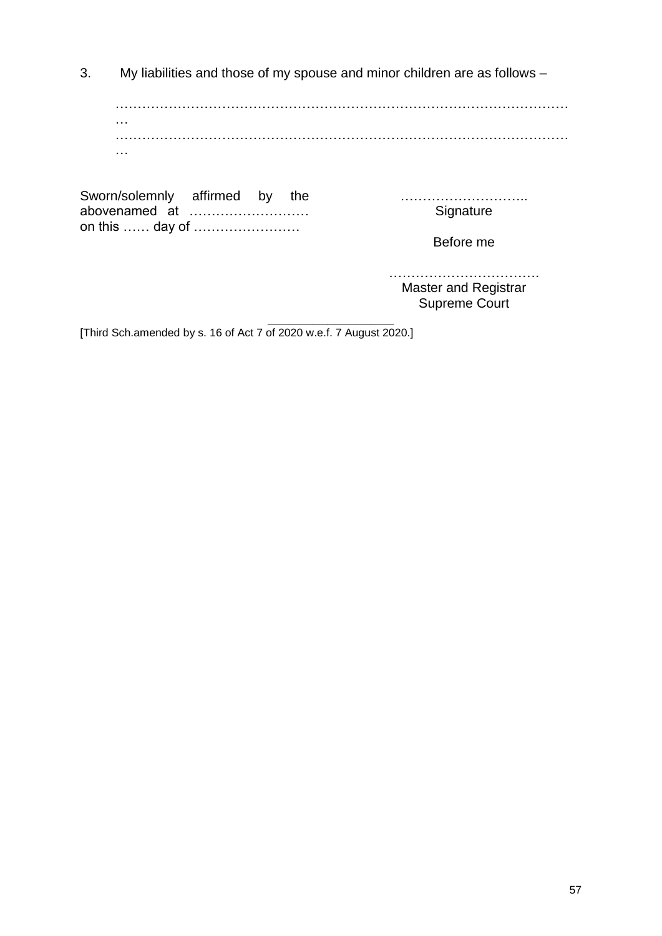3. My liabilities and those of my spouse and minor children are as follows –

………………………………………………………………………………………… … ………………………………………………………………………………………… …

Sworn/solemnly affirmed by the abovenamed at ……………………… on this …… day of ……………………

……………………….. **Signature** 

Before me

……………………………. Master and Registrar Supreme Court

**\_\_\_\_\_\_\_\_\_\_\_\_\_\_\_\_\_** [Third Sch.amended by s. 16 of Act 7 of 2020 w.e.f. 7 August 2020.]